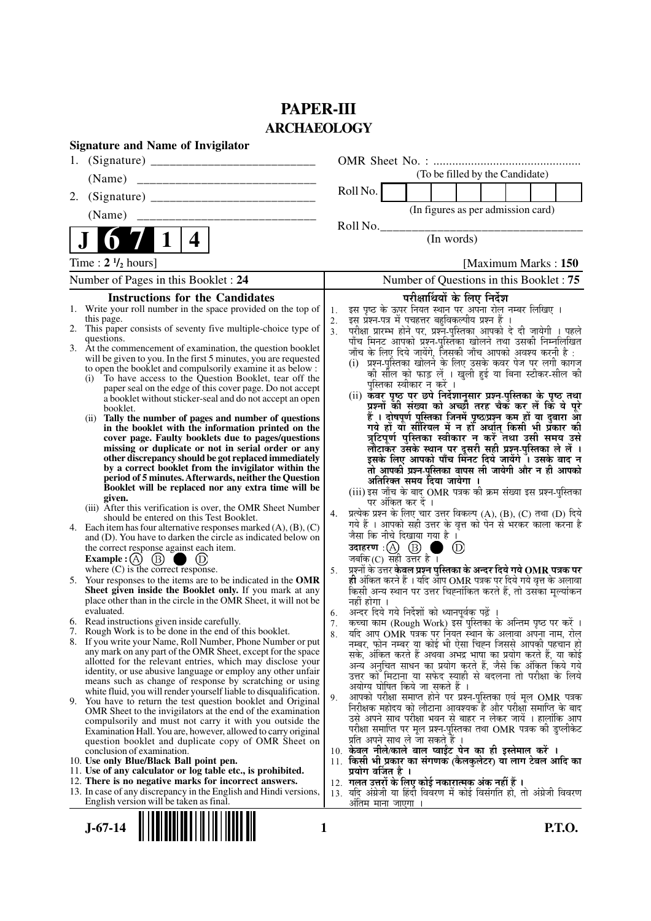# **PAPER-III ARCHAEOLOGY**

|    | <b>Signature and Name of Invigilator</b>                                                                                      |          |                                                                                                                                |
|----|-------------------------------------------------------------------------------------------------------------------------------|----------|--------------------------------------------------------------------------------------------------------------------------------|
| 1. |                                                                                                                               |          |                                                                                                                                |
|    | (Name)                                                                                                                        |          | (To be filled by the Candidate)                                                                                                |
| 2. |                                                                                                                               |          | Roll No.                                                                                                                       |
|    | (Name)                                                                                                                        |          | (In figures as per admission card)                                                                                             |
|    |                                                                                                                               |          | Roll No.                                                                                                                       |
|    | 4                                                                                                                             |          | (In words)                                                                                                                     |
|    | Time: $2 \frac{1}{2}$ hours]                                                                                                  |          | [Maximum Marks: 150]                                                                                                           |
|    | Number of Pages in this Booklet : 24                                                                                          |          | Number of Questions in this Booklet: 75                                                                                        |
|    | <b>Instructions for the Candidates</b>                                                                                        |          | परीक्षार्थियों के लिए निर्देश                                                                                                  |
|    | 1. Write your roll number in the space provided on the top of                                                                 | 1.       | इस पृष्ठ के ऊपर नियत स्थान पर अपना रोल नम्बर लिखिए ।                                                                           |
|    | this page.<br>2. This paper consists of seventy five multiple-choice type of                                                  | 2.<br>3. | इस प्रश्न-पत्र में पचहत्तर बहुविकल्पीय प्रश्न हैं ।                                                                            |
|    | questions.                                                                                                                    |          | परीक्षा प्रारम्भ होने पर, प्रश्न-पुस्तिका आपको दे दी जायेगी । पहले<br>पाँच मिनट आपको प्रश्न-पुस्तिका खोलने तथा उसकी निम्नलिखित |
|    | 3. At the commencement of examination, the question booklet                                                                   |          | जाँच के लिए दिये जायेंगे, जिसकी जाँच आपको अवश्य करनी है :                                                                      |
|    | will be given to you. In the first 5 minutes, you are requested<br>to open the booklet and compulsorily examine it as below : |          | (i) प्रश्न-पुस्तिका खोलने के लिए उसके कवर पेज पर लगी कागज                                                                      |
|    | (i) To have access to the Question Booklet, tear off the                                                                      |          | की सील को फाड़ लें । खुली हुई या बिना स्टीकर-सील की                                                                            |
|    | paper seal on the edge of this cover page. Do not accept                                                                      |          | पुस्तिका स्वीकार न करें ।                                                                                                      |
|    | a booklet without sticker-seal and do not accept an open                                                                      |          | (ii) कवर पृष्ठ पर छपे निर्देशानुसार प्रश्न्-पुस्तिका के पृष्ठ तथा<br>प्रश्नों की संख्या को अच्छों तरह चैक कर लें कि ये पूरे    |
|    | booklet.<br>(ii) Tally the number of pages and number of questions                                                            |          | हैं । दोषपूर्ण पुस्तिका जिनमें पृष्ठ/प्रश्न कम हों या दुबारा आ                                                                 |
|    | in the booklet with the information printed on the                                                                            |          | गये हों यो सीरियल में न हों अर्थात् किसी भी प्रकार की                                                                          |
|    | cover page. Faulty booklets due to pages/questions                                                                            |          | त्रुटिपूर्ण पुस्तिका स्वीकार न करें तथा उसी समय उसे                                                                            |
|    | missing or duplicate or not in serial order or any<br>other discrepancy should be got replaced immediately                    |          | लौटाकर उसके स्थान पर दूसरी सही प्रश्न-पुस्तिका ले लें ।<br>इसके लिए आपको पाँच मिनट दिये जायेंगे । उसके बाद न                   |
|    | by a correct booklet from the invigilator within the                                                                          |          | तो आपकी प्रश्न-पुस्तिका वापस ली जायेगी और न ही आपको                                                                            |
|    | period of 5 minutes. Afterwards, neither the Question                                                                         |          | अतिरिक्त समय दिया जायेगा ।                                                                                                     |
|    | Booklet will be replaced nor any extra time will be                                                                           |          | (iii) इस जाँच के बाद OMR पत्रक की क्रम संख्या इस प्रश्न-पुस्तिका                                                               |
|    | given.<br>(iii) After this verification is over, the OMR Sheet Number                                                         |          | पर अंकित कर दें ।                                                                                                              |
|    | should be entered on this Test Booklet.                                                                                       | 4.       | प्रत्येक प्रश्न के लिए चार उत्तर विकल्प (A), (B), (C) तथा (D) दिये                                                             |
|    | 4. Each item has four alternative responses marked $(A)$ , $(B)$ , $(C)$                                                      |          | गये हैं । आपको सही उत्तर के वृत्त को पेन से भरकर काला करना है<br>जैसा कि नीचे दिखाया गया है ।                                  |
|    | and (D). You have to darken the circle as indicated below on                                                                  |          | उदाहरण $\,$ :( $\,\mathrm{(A)}$ $\,$ $\mathrm{(B)}$<br>$\circledR$                                                             |
|    | the correct response against each item.<br>Example : $(A)$ $(B)$<br>$\cup$                                                    |          | जबकि $(C)$ सही उत्तर है।                                                                                                       |
|    | where $(C)$ is the correct response.                                                                                          | 5.       | प्रश्नों के उत्तर केवल प्रश्न पुस्तिका के अन्दर दिये गये OMR पत्रक पर                                                          |
| 5. | Your responses to the items are to be indicated in the OMR                                                                    |          | ही अंकित करने हैं । यदि आप OMR पत्रक पर दिये गये वृत्त के अलावा                                                                |
|    | Sheet given inside the Booklet only. If you mark at any                                                                       |          | किसी अन्य स्थान पर उत्तर चिह्नांकित करते हैं, तो उसका मूल्यांकन                                                                |
|    | place other than in the circle in the OMR Sheet, it will not be<br>evaluated.                                                 |          | नहीं होगा ।<br>अन्दर दिये गये निर्देशों को ध्यानपूर्वक पढ़ें                                                                   |
|    | 6. Read instructions given inside carefully.                                                                                  | 6.<br>7. | कच्चा काम (Rough Work) इस पुस्तिका के अन्तिम पृष्ठ पर करें ।                                                                   |
|    | 7. Rough Work is to be done in the end of this booklet.                                                                       | 8.       | यदि आप OMR पत्रक पर नियत स्थान के अलावा अपना नाम, रोल                                                                          |
|    | 8. If you write your Name, Roll Number, Phone Number or put                                                                   |          | नम्बर, फोन नम्बर या कोई भी ऐसा चिह्न जिससे आपकी पहचान हो                                                                       |
|    | any mark on any part of the OMR Sheet, except for the space<br>allotted for the relevant entries, which may disclose your     |          | सके, अंकित करते हैं अथवा अभद्र भाषा का प्रयोग करते हैं, या कोई                                                                 |
|    | identity, or use abusive language or employ any other unfair                                                                  |          | अन्य अनचित साधन का प्रयोग करते हैं, जैसे कि अंकित किये गये<br>उत्तर को मिटाना या सफेद स्याही से बदलना तो परीक्षा के लिये       |
|    | means such as change of response by scratching or using                                                                       |          | अयोग्य घोषित किये जा सकते हैं ।                                                                                                |
|    | white fluid, you will render yourself liable to disqualification.                                                             | 9.       | आपको परीक्षा समाप्त होने पर प्रश्न-पुस्तिका एवं मूल OMR पत्रक                                                                  |
|    | 9. You have to return the test question booklet and Original<br>OMR Sheet to the invigilators at the end of the examination   |          | निरीक्षक महोदय को लौटाना आवश्यक है और परीक्षा समाप्ति के बाद                                                                   |
|    | compulsorily and must not carry it with you outside the                                                                       |          | उसे अपने साथ परीक्षा भवन से बाहर न लेकर जायें । हालांकि आप                                                                     |
|    | Examination Hall. You are, however, allowed to carry original                                                                 |          | परीक्षा समाप्ति पर मूल प्रश्न-पुस्तिका तथा OMR पत्रक की डुप्लीकेट                                                              |
|    | question booklet and duplicate copy of OMR Sheet on<br>conclusion of examination.                                             |          | प्रति अपने साथ ले जा सकते है ।<br>10. केवल नीले/काले बाल प्वाईंट पेन का ही इस्तेमाल करें ।                                     |
|    | 10. Use only Blue/Black Ball point pen.                                                                                       |          | 11. किसी भी प्रकार का संगणक (कैलकुलेटर) या लाग टेबल आदि का                                                                     |
|    | 11. Use of any calculator or log table etc., is prohibited.                                                                   |          | प्रयोग वर्जित है ।                                                                                                             |
|    | 12. There is no negative marks for incorrect answers.                                                                         |          | 12. गलत उत्तरों के लिए कोई नकारात्मक अंक नहीं हैं ।                                                                            |
|    | 13. In case of any discrepancy in the English and Hindi versions,<br>English version will be taken as final.                  |          | 13. यदि अंग्रेजी या हिंदी विवरण में कोई विसंगति हो, तो अंग्रेजी विवरण                                                          |
|    |                                                                                                                               |          | अंतिम माना जाएगा                                                                                                               |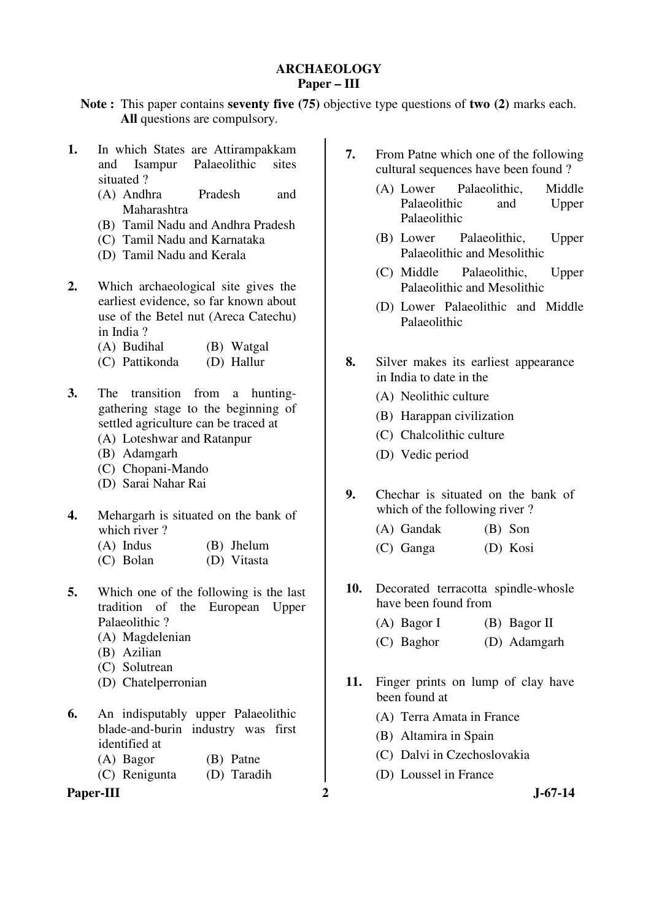#### **ARCHAEOLOGY Paper – III**

**Note :** This paper contains **seventy five (75)** objective type questions of **two (2)** marks each. **All** questions are compulsory.

- **1.** In which States are Attirampakkam and Isampur Palaeolithic sites situated ?
	- (A) Andhra Pradesh and Maharashtra
	- (B) Tamil Nadu and Andhra Pradesh
	- (C) Tamil Nadu and Karnataka
	- (D) Tamil Nadu and Kerala
- **2.** Which archaeological site gives the earliest evidence, so far known about use of the Betel nut (Areca Catechu) in India ?
	- (A) Budihal (B) Watgal
	- (C) Pattikonda (D) Hallur
- **3.** The transition from a huntinggathering stage to the beginning of settled agriculture can be traced at
	- (A) Loteshwar and Ratanpur
	- (B) Adamgarh
	- (C) Chopani-Mando
	- (D) Sarai Nahar Rai
- **4.** Mehargarh is situated on the bank of which river ?
	- (A) Indus (B) Jhelum
	- (C) Bolan (D) Vitasta
- **5.** Which one of the following is the last tradition of the European Upper Palaeolithic ?
	- (A) Magdelenian
	- (B) Azilian
	- (C) Solutrean
	- (D) Chatelperronian
- **6.** An indisputably upper Palaeolithic blade-and-burin industry was first identified at
	- (A) Bagor (B) Patne
	- (C) Renigunta (D) Taradih

Paper-III 2 J-67-14

- **7.** From Patne which one of the following cultural sequences have been found ?
	- (A) Lower Palaeolithic, Middle Palaeolithic and Upper Palaeolithic
	- (B) Lower Palaeolithic, Upper Palaeolithic and Mesolithic
	- (C) Middle Palaeolithic, Upper Palaeolithic and Mesolithic
	- (D) Lower Palaeolithic and Middle Palaeolithic
- **8.** Silver makes its earliest appearance in India to date in the
	- (A) Neolithic culture
	- (B) Harappan civilization
	- (C) Chalcolithic culture
	- (D) Vedic period
- **9.** Chechar is situated on the bank of which of the following river?
	- (A) Gandak (B) Son
	- (C) Ganga (D) Kosi
- 10. Decorated terracotta spindle-whosle have been found from
	- (A) Bagor I (B) Bagor II
	- (C) Baghor (D) Adamgarh
- **11.** Finger prints on lump of clay have been found at
	- (A) Terra Amata in France
	- (B) Altamira in Spain
	- (C) Dalvi in Czechoslovakia
	- (D) Loussel in France
-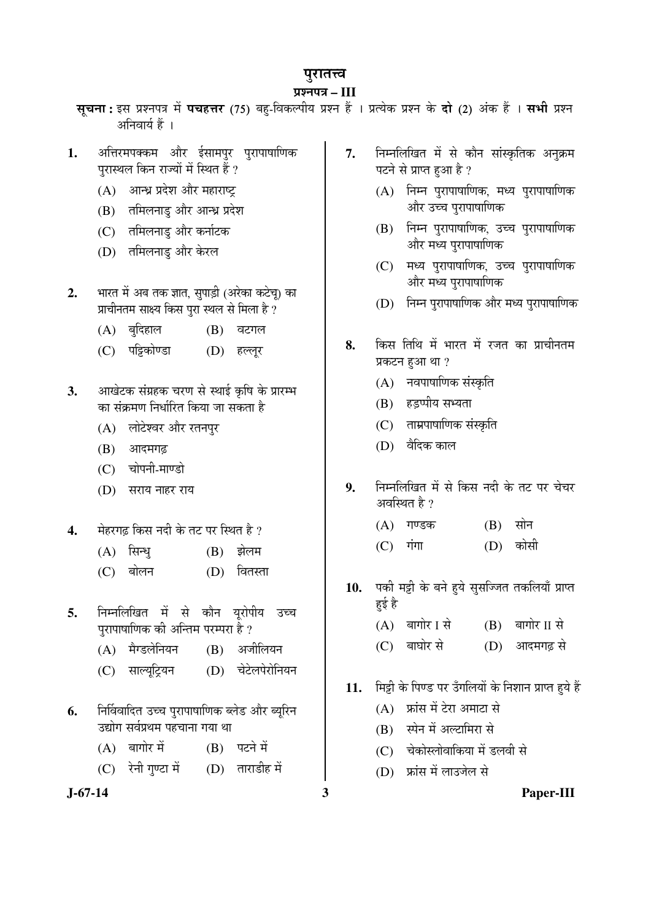# पुरातत्त्व

# ¯ÖÏ¿®Ö¯Ö¡Ö **– III**

- स्**चना:** इस प्रश्नपत्र में पचहत्तर (75) बह-विकल्पीय प्रश्न हैं । प्रत्येक प्रश्न के दो (2) अंक हैं । सभी प्रश्न अनिवार्य हैं ।
- 1. अत्तिरमपक्कम और ईसामपुर पुरापाषाणिक पुरास्थल किन राज्यों में स्थित हैं ?
	- (A) आन्ध्र प्रदेश और महाराष्ट्र
	- (B) तमिलनाडु और आन्ध्र प्रदेश
	- (C) तमिलनाडु और कर्नाटक
	- (D) तमिलनाडु और केरल
- 2. भारत में अब तक ज्ञात, सुपाड़ी (अरेका कटेच्) का प्राचीनतम साक्ष्य किस पुरा स्थल से मिला है ?
	- (A) बुदिहाल (B) वटगल
	- (C) पट्टिकोण्डा (D) हल्लूर
- 3. Hudhi Awasa ku Ruba Kara 3. \*Hudahi Amarta 3. \*Hudahi 3. \*Hudahi 3. \*Hudahi 3. \*Hudahi Amarta & Sultan & Sult का संक्रमण निर्धारित किया जा सकता है
	- (A) लोटेश्वर और रतनपुर
	- (B) आदमगढ़
	- (C) चोपनी-माण्डो
	- (D) सराय नाहर राय
- 4. <sup>ो</sup>हरगढ़ किस नदी के तट पर स्थित है ?
	- (A) सिन्ध (B) झेलम
	- (C) बोलन (D) वितस्ता
- **5.** निम्नलिखित में से कौन युरोपीय उच्च पुरापाषाणिक की अन्तिम परम्परा है ?
	- (A) मैग्डलेनियन (B) अजीलियन
	- (C) साल्यूट्रियन (D) चेटेलपेरोनियन
- **6.** निर्विवादित उच्च पुरापाषाणिक ब्लेड और ब्यूरिन उद्योग सर्वप्रथम पहचाना गया था
	- $(A)$  बागोर में  $(B)$  पटने में
	- $(C)$  रेनी गुण्टा में  $(D)$  ताराडीह में
- 
- 7. निम्नलिखित में से कौन सांस्कृतिक अनुक्रम पटने से प्राप्त हुआ है ?
	- $(A)$  निम्न पुरापाषाणिक, मध्य पुरापाषाणिक <u>और उच्च पुरापाषाणिक</u>
	- $(B)$  निम्न पुरापाषाणिक, उच्च पुरापाषाणिक और मध्य परापाषाणिक
	- (C) मध्य पुरापाषाणिक, उच्च पुरापाषाणिक और मध्य परापाषाणिक
	- (D) निम्न पुरापाषाणिक और मध्य पुरापाषाणिक
- **8.** किस तिथि में भारत में रजत का प्राचीनतम प्रकटन हुआ था ?
	- (A) नवपाषाणिक संस्कृति
	- (B) हड़प्पीय सभ्यता
	- (C) ताम्रपाषाणिक संस्कृति
	- $(D)$  वैदिक काल
- 9. निम्नलिखित में से किस नदी के तट पर चेचर अवस्थित है  $\imath$ 
	- $(A)$  गण्डक  $(B)$  सोन
	- (C) गंगा (D) कोसी
- 10. पकी मट्टी के बने हुये सुसज्जित तकलियाँ प्राप्त हई है
	- $(A)$  बागोर I से  $(B)$  बागोर II से
	- (C) बाघोर से (D) आदमगढ से
- 11. ਸਿਤੀ के पिण्ड पर उँगलियों के निशान प्राप्त हये हैं
	- $(A)$  फ्रांस में टेरा अमाटा से
	- $(B)$  स्पेन में अल्टामिरा से
	- (C) चेकोस्लोवाकिया में डलवी से
	- (D) फ्रांस में लाउजेल से

**J-67-14 3 Paper-III**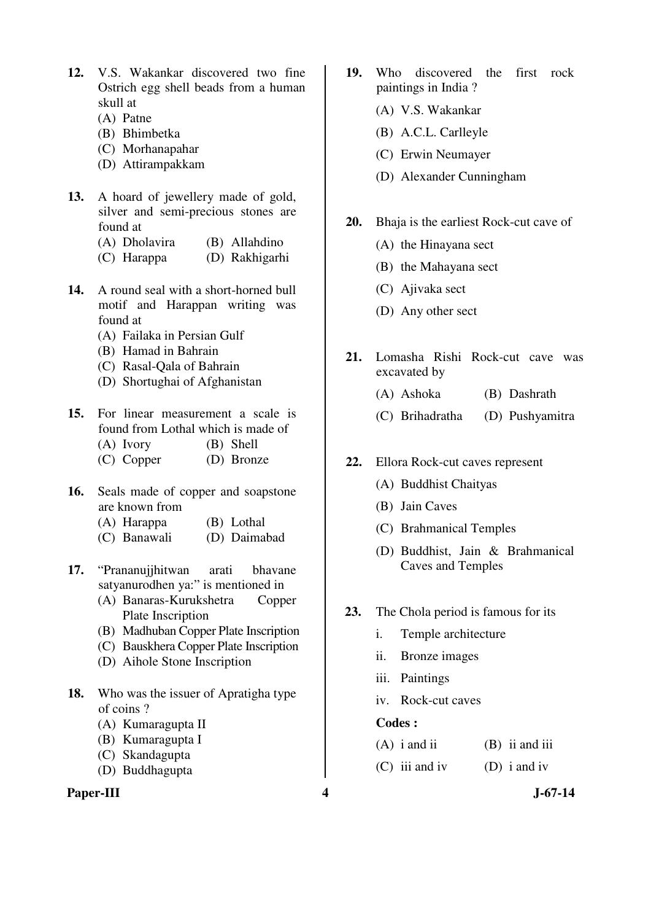- **12.** V.S. Wakankar discovered two fine Ostrich egg shell beads from a human skull at
	- (A) Patne
	- (B) Bhimbetka
	- (C) Morhanapahar
	- (D) Attirampakkam
- **13.** A hoard of jewellery made of gold, silver and semi-precious stones are found at
	- (A) Dholavira (B) Allahdino
	- (C) Harappa (D) Rakhigarhi
- **14.** A round seal with a short-horned bull motif and Harappan writing was found at
	- (A) Failaka in Persian Gulf
	- (B) Hamad in Bahrain
	- (C) Rasal-Qala of Bahrain
	- (D) Shortughai of Afghanistan
- **15.** For linear measurement a scale is found from Lothal which is made of
	- (A) Ivory (B) Shell
	- (C) Copper (D) Bronze
- **16.** Seals made of copper and soapstone are known from
	- (A) Harappa (B) Lothal
	- (C) Banawali (D) Daimabad
- **17.** "Prananujjhitwan arati bhavane satyanurodhen ya:" is mentioned in
	- (A) Banaras-Kurukshetra Copper Plate Inscription
	- (B) Madhuban Copper Plate Inscription
	- (C) Bauskhera Copper Plate Inscription
	- (D) Aihole Stone Inscription
- **18.** Who was the issuer of Apratigha type of coins ?
	- (A) Kumaragupta II
	- (B) Kumaragupta I
	- (C) Skandagupta
	- (D) Buddhagupta

#### **Paper-III 4 J-67-14**

- **19.** Who discovered the first rock paintings in India ?
	- (A) V.S. Wakankar
	- (B) A.C.L. Carlleyle
	- (C) Erwin Neumayer
	- (D) Alexander Cunningham
- **20.** Bhaja is the earliest Rock-cut cave of
	- (A) the Hinayana sect
	- (B) the Mahayana sect
	- (C) Ajivaka sect
	- (D) Any other sect
- **21.** Lomasha Rishi Rock-cut cave was excavated by
	- (A) Ashoka (B) Dashrath
	- (C) Brihadratha (D) Pushyamitra
- **22.** Ellora Rock-cut caves represent
	- (A) Buddhist Chaityas
	- (B) Jain Caves
	- (C) Brahmanical Temples
	- (D) Buddhist, Jain & Brahmanical Caves and Temples
- **23.** The Chola period is famous for its
	- i. Temple architecture
	- ii. Bronze images
	- iii. Paintings
	- iv. Rock-cut caves

| $(A)$ i and ii   | $(B)$ ii and iii |
|------------------|------------------|
| $(C)$ iii and iv | $(D)$ i and iv   |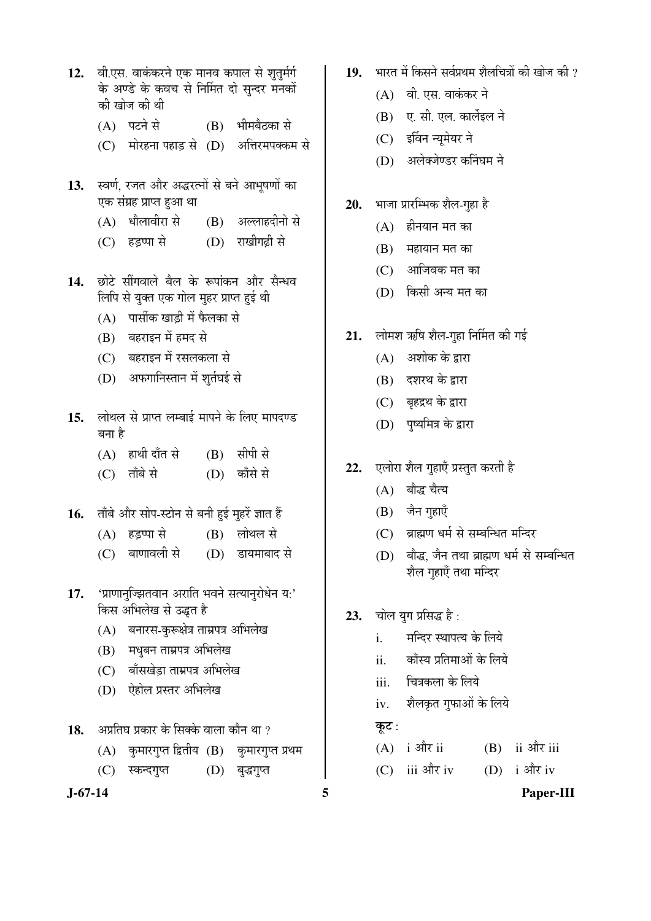- 12. वी.एस. वाकंकरने एक मानव कपाल से शतर्मर्ग के अण्डे के कवच से निर्मित दो सन्दर मनकों की खोज की थी
	- (A) पटने से (B) भीमबैठका से
	- (C) गोरहना पहाड़ से (D) अत्तिरमपक्कम से
- 13. स्वर्ण, रजत और अद्धरत्नों से बने आभूषणों का एक संग्रह प्राप्त हुआ था
	- (A) धौलावीरा से (B) अल्लाहदीनो से
	- (C) हडप्पा से (D) राखीगढी से
- 14. छोटे सींगवाले बैल के रूपांकन और सैन्धव लिपि से युक्त एक गोल मुहर प्राप्त हुई थी
	- (A) पार्सीक खाडी में फैलका से
	- (B) बहराइन में हमद से
	- (C) बहराइन में रसलकला से
	- (D) अफगानिस्तान में शर्तघई से
- 15. लोथल से प्राप्त लम्बाई मापने के लिए मापदण्ड बना है
	- $(A)$  हाथी दाँत से  $(B)$  सीपी से
	- (C) ताँबे से (D) काँसे से
- 16. ताँबे और सोप-स्टोन से बनी हई महरें ज्ञात हैं
	- $(A)$  हडप्पा से  $(B)$  लोथल से
	- (C) बाणावली से (D) डायमाबाद से
- 17. 'प्राणानुज्झितवान अराति भवने सत्यानुरोधेन य:' किस अभिलेख से उद्धत है
	- (A) बनारस-कुरूक्षेत्र ताम्रपत्र अभिलेख
	- (B) मधुबन ताम्रपत्र अभिलेख
	- (C) बाँसखेडा ताम्रपत्र अभिलेख
	- (D) ऐहोल प्रस्तर अभिलेख
- 18. अप्रतिघ प्रकार के सिक्के वाला कौन था ?
	- (A) कुमारगुप्त द्वितीय (B) कुमारगुप्त प्रथम
	- (C) स्कन्दगुप्त (D) बुद्धगुप्त
- 
- 19. भारत में किसने सर्वप्रथम शैलचित्रों की खोज की ?
	- $(A)$  वी. एस. वाकंकर ने
	- (B) ए. सी. एल. कार्लेइल ने
	- (C) इर्विन न्यूमेयर ने
	- (D) अलेक्जेण्डर कनिंघम ने
- 20. भाजा प्रारम्भिक शैल-गुहा है
	- $(A)$  हीनयान मत का
	- $(B)$  महायान मत का
	- $(C)$  आजिवक मत का
	- (D) किसी अन्य मत का
- 21. लोमश ऋषि शैल-गुहा निर्मित की गई
	- $(A)$  । अशोक के द्वारा
	- $(B)$  दशरथ के द्रारा
	- (C) बहद्रथ के द्वारा
	- (D) पुष्यमित्र के द्वारा
- 22. **एलोरा शैल गुहाएँ प्रस्तुत करती** है
	- (A) बौद्ध चैत्य
	- (B) जैन गुहाएँ
	- (C) ब्राह्मण धर्म से सम्बन्धित मन्दिर
	- (D) बौद्ध, जैन तथा ब्राह्मण धर्म से सम्बन्धित शैल गहाएँ तथा मन्दिर
- 23. चोल युग प्रसिद्ध है:
	- i. मन्दिर स्थापत्य के लिये
	- ii. काँस्य प्रतिमाओं के लिये
	- iii. चित्रकला के लिये
	- iv. शैलकृत गुफाओं के लिये
	- कूट:
	- $(A)$  i और ii (B) ii और iii
	- (C) iii और iv (D) i और iv
- **J-67-14 5 Paper-III**
-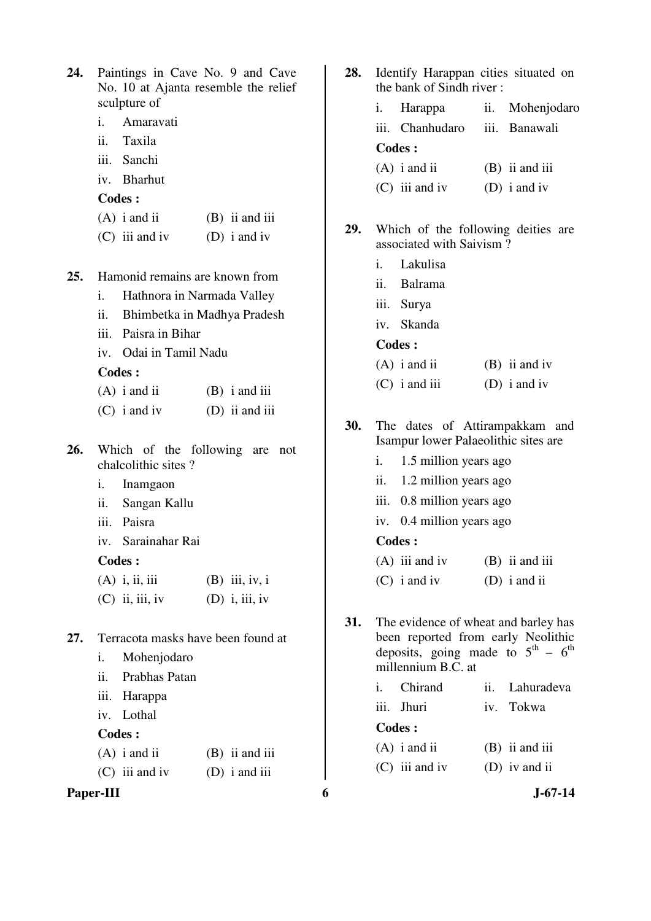| 24. | Paintings in Cave No. 9 and Cave<br>No. 10 at Ajanta resemble the relief | 28. | Identify Harappan cities situated on<br>the bank of Sindh river: |                                                         |  |
|-----|--------------------------------------------------------------------------|-----|------------------------------------------------------------------|---------------------------------------------------------|--|
|     | sculpture of                                                             |     | Harappa<br>i.                                                    | Mohenjodar<br>ii.                                       |  |
|     | i.<br>Amaravati                                                          |     | iii.<br>Chanhudaro                                               | iii. Banawali                                           |  |
|     | ii.<br>Taxila                                                            |     | <b>Codes:</b>                                                    |                                                         |  |
|     | iii.<br>Sanchi                                                           |     | $(A)$ i and ii                                                   | $(B)$ ii and iii                                        |  |
|     | <b>Bharhut</b><br>iv.                                                    |     | $(C)$ iii and iv                                                 | (D) $i$ and $iv$                                        |  |
|     | Codes:                                                                   |     |                                                                  |                                                         |  |
|     | $(A)$ i and ii<br>$(B)$ ii and iii                                       | 29. |                                                                  | Which of the following deities are                      |  |
|     | $(C)$ iii and iv<br>(D) $i$ and $iv$                                     |     | associated with Saivism?                                         |                                                         |  |
|     |                                                                          |     | Lakulisa<br>i.                                                   |                                                         |  |
| 25. | Hamonid remains are known from                                           |     | <b>Balrama</b><br>ii.                                            |                                                         |  |
|     | Hathnora in Narmada Valley<br>i.                                         |     | iii.<br>Surya                                                    |                                                         |  |
|     | ii.<br>Bhimbetka in Madhya Pradesh                                       |     | Skanda<br>iv.                                                    |                                                         |  |
|     | Paisra in Bihar<br>iii.                                                  |     | Codes:                                                           |                                                         |  |
|     | Odai in Tamil Nadu<br>iv.                                                |     | $(A)$ i and ii                                                   | $(B)$ ii and iv                                         |  |
|     | <b>Codes:</b>                                                            |     | $(C)$ i and iii                                                  | (D) $i$ and $iv$                                        |  |
|     | $(B)$ i and iii<br>$(A)$ i and ii                                        |     |                                                                  |                                                         |  |
|     | $(C)$ i and iv<br>$(D)$ ii and iii                                       | 30. |                                                                  | The dates of Attirampakkam and                          |  |
|     |                                                                          |     |                                                                  | Isampur lower Palaeolithic sites are                    |  |
| 26. | Which of the following are not<br>chalcolithic sites?                    |     | i.<br>1.5 million years ago                                      |                                                         |  |
|     | i.<br>Inamgaon                                                           |     | 1.2 million years ago<br>ii.                                     |                                                         |  |
|     | ii.<br>Sangan Kallu                                                      |     | 0.8 million years ago<br>iii.                                    |                                                         |  |
|     | iii.<br>Paisra                                                           |     | iv. 0.4 million years ago                                        |                                                         |  |
|     | Sarainahar Rai<br>iv.                                                    |     | <b>Codes:</b>                                                    |                                                         |  |
|     | <b>Codes:</b>                                                            |     | $(A)$ iii and iv                                                 | $(B)$ ii and iii                                        |  |
|     | $(A)$ i, ii, iii<br>$(B)$ iii, iv, i                                     |     | $(C)$ i and iv                                                   | $(D)$ i and ii                                          |  |
|     | $(C)$ ii, iii, iv<br>$(D)$ i, iii, iv                                    |     |                                                                  |                                                         |  |
|     |                                                                          | 31. |                                                                  | The evidence of wheat and barley has                    |  |
| 27. | Terracota masks have been found at                                       |     |                                                                  | been reported from early Neolithic                      |  |
|     | Mohenjodaro<br>i.                                                        |     |                                                                  | deposits, going made to $5^{\text{th}} - 6^{\text{th}}$ |  |
|     | ii.<br>Prabhas Patan                                                     |     | millennium B.C. at                                               |                                                         |  |
|     | iii.<br>Harappa                                                          |     | Chirand<br>i.                                                    | Lahuradeva<br>ii.                                       |  |
|     | iv. Lothal                                                               |     | Jhuri<br>iii.                                                    | Tokwa<br>iv.                                            |  |
|     | <b>Codes:</b>                                                            |     | <b>Codes:</b>                                                    |                                                         |  |
|     | $(A)$ i and ii<br>$(B)$ ii and iii                                       |     | $(A)$ i and ii                                                   | $(B)$ ii and iii                                        |  |
|     | $(C)$ iii and iv<br>$(D)$ i and iii                                      |     | $(C)$ iii and iv                                                 | $(D)$ iv and ii                                         |  |
|     | Paper-III                                                                | 6   |                                                                  | $J - 67 - 14$                                           |  |

| 28. | Identify Harappan cities situated on<br>the bank of Sindh river:                                                                                            |                                                                |  |                  |  |  |  |
|-----|-------------------------------------------------------------------------------------------------------------------------------------------------------------|----------------------------------------------------------------|--|------------------|--|--|--|
|     | i.                                                                                                                                                          | Harappa ii. Mohenjodaro                                        |  |                  |  |  |  |
|     |                                                                                                                                                             | iii. Chanhudaro                                                |  | iii. Banawali    |  |  |  |
|     |                                                                                                                                                             | <b>Codes:</b>                                                  |  |                  |  |  |  |
|     |                                                                                                                                                             | $(A)$ i and ii                                                 |  | $(B)$ ii and iii |  |  |  |
|     |                                                                                                                                                             | $(C)$ iii and iv                                               |  | (D) i and iv     |  |  |  |
| 29. |                                                                                                                                                             | Which of the following deities are<br>associated with Saivism? |  |                  |  |  |  |
|     |                                                                                                                                                             | i. Lakulisa                                                    |  |                  |  |  |  |
|     |                                                                                                                                                             | ii. Balrama                                                    |  |                  |  |  |  |
|     |                                                                                                                                                             | iii. Surya                                                     |  |                  |  |  |  |
|     |                                                                                                                                                             | iv. Skanda                                                     |  |                  |  |  |  |
|     | <b>Codes:</b>                                                                                                                                               |                                                                |  |                  |  |  |  |
|     |                                                                                                                                                             | $(A)$ i and ii                                                 |  | $(B)$ ii and iv  |  |  |  |
|     |                                                                                                                                                             | $(C)$ i and iii                                                |  | (D) i and iv     |  |  |  |
| 30. | The dates of Attirampakkam and<br>Isampur lower Palaeolithic sites are                                                                                      |                                                                |  |                  |  |  |  |
|     | i.                                                                                                                                                          | 1.5 million years ago                                          |  |                  |  |  |  |
|     | ii.                                                                                                                                                         | 1.2 million years ago                                          |  |                  |  |  |  |
|     |                                                                                                                                                             | iii. 0.8 million years ago                                     |  |                  |  |  |  |
|     |                                                                                                                                                             | iv. 0.4 million years ago                                      |  |                  |  |  |  |
|     |                                                                                                                                                             | <b>Codes:</b>                                                  |  |                  |  |  |  |
|     |                                                                                                                                                             | $(A)$ iii and iv                                               |  | $(B)$ ii and iii |  |  |  |
|     |                                                                                                                                                             | $(C)$ i and iv                                                 |  | $(D)$ i and ii   |  |  |  |
| 31. | The evidence of wheat and barley has<br>been reported from early Neolithic<br>deposits, going made to $5^{\text{th}} - 6^{\text{th}}$<br>millennium B.C. at |                                                                |  |                  |  |  |  |
|     |                                                                                                                                                             | i. Chirand                                                     |  | ii. Lahuradeva   |  |  |  |
|     |                                                                                                                                                             | iii. Jhuri                                                     |  | iv. Tokwa        |  |  |  |
|     |                                                                                                                                                             | <b>Codes:</b>                                                  |  |                  |  |  |  |
|     |                                                                                                                                                             | $(A)$ i and ii                                                 |  | $(B)$ ii and iii |  |  |  |
|     |                                                                                                                                                             | $(C)$ iii and iv                                               |  | (D) iv and ii    |  |  |  |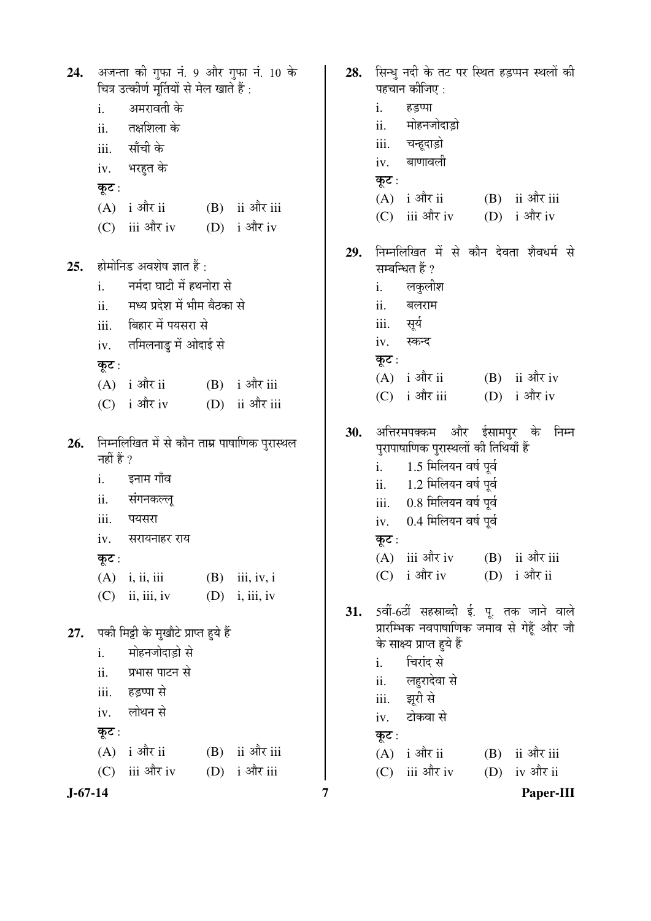अजन्ता की गुफा नं. 9 और गुफा नं. 10 के 24. चित्र उत्कीर्ण मर्तियों से मेल खाते हैं : अमरावती के  $\mathbf{i}$ . तक्षशिला के  $\ddot{i}$ साँची के iii. भरहत के iv. कुट: (B) ii और iii  $(A)$  i और ii  $(C)$  iii और iv  $(D)$  i और iv होमोनिड अवशेष ज्ञात हैं :  $25.$ नर्मदा घाटी में हथनोरा से  $\mathbf{i}$ .  $ii.$ मध्य प्रदेश में भीम बैठका से बिहार में पयसरा से iii. तमिलनाडु में ओदाई से  $iv.$ कुट:  $(B)$  i और iii  $(A)$  i और ii  $(C)$  i और iv (D) ii और iii निम्नलिखित में से कौन ताम्र पाषाणिक पुरास्थल 26. नहीं हैं ? इनाम गाँव  $\mathbf{i}$ . संगनकल्ल  $ii.$ पयसरा iii. सरायनाहर राय  $iv.$ कूट:  $(B)$  iii, iv, i  $(A)$  i, ii, iii  $(C)$  ii, iii, iv  $(D)$  i, iii, iv 27. पकी मिट्टी के मुखौटे प्राप्त हुये हैं मोहनजोदाडो से  $\mathbf{i}$ . प्रभास पाटन से ii. हडप्पा से iii. लोथन से iv. कूट:  $(A)$  i और ii  $(B)$  ii और iii  $(C)$  iii और iv (D) i और iii

 $\mathbf{i}$ . हडप्पा मोहनजोदाड़ो ii. iii. चन्हूदाड़ो बाणावली iv. कट $:$  $(A)$  i और ii (B) ii और iii  $(C)$  iii और iv  $(D)$  i और iv निम्नलिखित में से कौन देवता शैवधर्म से 29. सम्बन्धित हैं ?  $\mathbf{i}$ . लकुलीश बलराम ii. सर्य iii. स्कन्द  $iv.$ कुट :  $(A)$  i और ii  $(B)$  ii और iv  $(C)$  i और iii (D) i और iv 30. अत्तिरमपक्कम और ईसामपुर के निम्न पुरापाषाणिक पुरास्थलों की तिथियाँ हैं 1.5 मिलियन वर्ष पूर्व  $i$ . ii. 1.2 मिलियन वर्ष पूर्व 0.8 मिलियन वर्ष पूर्व iii. 0.4 मिलियन वर्ष पूर्व  $iv.$ कुट :  $(B)$  ii और iii  $(A)$  iii और iv (D) i और ii  $(C)$  i और iv 5वीं-6वीं सहस्राब्दी ई. पू. तक जाने वाले  $31.$ प्रारम्भिक नवपाषाणिक जमाव से गेहँ और जौ के साक्ष्य प्राप्त हुये हैं चिरांद से  $\mathbf{i}$ . लहुरादेवा से ii. झूरी से iii. टोकवा से iv. कूट:

 $(A)$  i और ii

 $\overline{7}$ 

 $(C)$  iii और iv

28. सिन्ध नदी के तट पर स्थित हडप्पन स्थलों की

पहचान कीजिए :

 $J-67-14$ 

Paper-III

 $(B)$  ii और iii

(D) iv और ii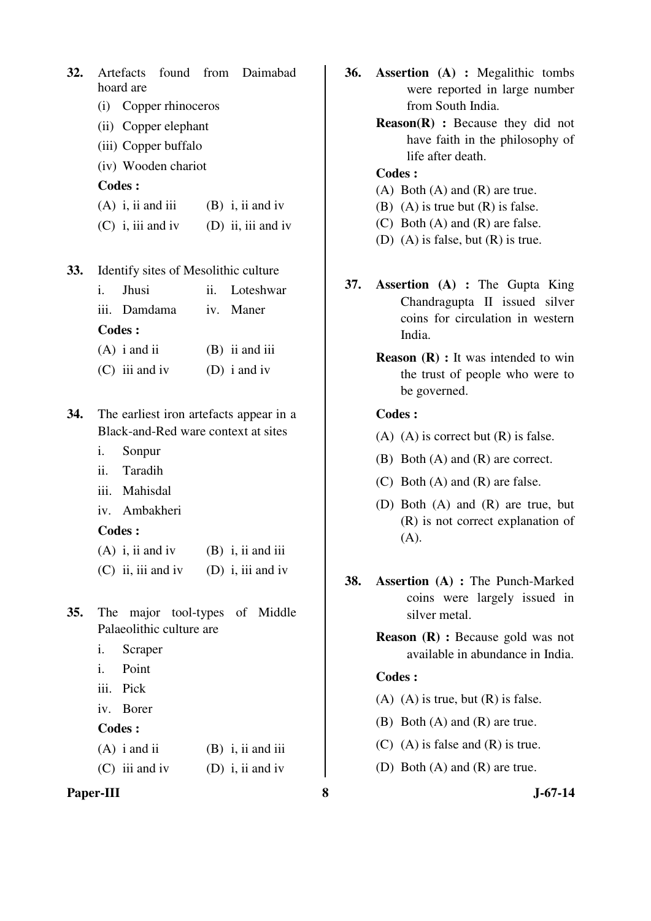| 32. | found from<br>Artefacts<br>hoard are                      | Daimabad                             | 36. | <b>Assertion</b> (A) : Megalithic tombs<br>were reported in large number                 |
|-----|-----------------------------------------------------------|--------------------------------------|-----|------------------------------------------------------------------------------------------|
|     | (i) Copper rhinoceros                                     |                                      |     | from South India.                                                                        |
|     | (ii) Copper elephant                                      |                                      |     | Reason(R) : Because they did not                                                         |
|     | (iii) Copper buffalo                                      |                                      |     | have faith in the philosophy of                                                          |
|     | (iv) Wooden chariot                                       |                                      |     | life after death.<br><b>Codes:</b>                                                       |
|     | <b>Codes:</b>                                             |                                      |     | $(A)$ Both $(A)$ and $(R)$ are true.                                                     |
|     | $(A)$ i, ii and iii                                       | $(B)$ i, ii and iv                   |     | $(B)$ (A) is true but $(R)$ is false.                                                    |
|     | $(C)$ i, iii and iv                                       | $(D)$ ii, iii and iv                 |     | $(C)$ Both $(A)$ and $(R)$ are false.<br>(D) (A) is false, but $(R)$ is true.            |
| 33. | Identify sites of Mesolithic culture                      |                                      |     |                                                                                          |
|     | Jhusi<br>ii.<br>i.                                        | Loteshwar                            | 37. | <b>Assertion</b> (A) : The Gupta King                                                    |
|     | Damdama<br>iii.                                           | Maner<br>iv.                         |     | Chandragupta II issued silver<br>coins for circulation in western                        |
|     | <b>Codes:</b>                                             |                                      |     | India.                                                                                   |
|     | $(A)$ i and ii<br>$(C)$ iii and iv                        | $(B)$ ii and iii<br>(D) $i$ and $iv$ |     | <b>Reason</b> $(R)$ : It was intended to win                                             |
|     |                                                           |                                      |     | the trust of people who were to<br>be governed.                                          |
| 34. | The earliest iron artefacts appear in a                   |                                      |     | <b>Codes:</b>                                                                            |
|     | Black-and-Red ware context at sites                       |                                      |     | $(A)$ $(A)$ is correct but $(R)$ is false.                                               |
|     | i.<br>Sonpur                                              |                                      |     | $(B)$ Both $(A)$ and $(R)$ are correct.                                                  |
|     | ii.<br>Taradih                                            |                                      |     | $(C)$ Both $(A)$ and $(R)$ are false.                                                    |
|     | iii.<br>Mahisdal                                          |                                      |     | (D) Both (A) and (R) are true, but                                                       |
|     | Ambakheri<br>iv.                                          |                                      |     | (R) is not correct explanation of                                                        |
|     | <b>Codes:</b>                                             |                                      |     | (A).                                                                                     |
|     | $(A)$ i, ii and iv                                        | $(B)$ i, ii and iii                  |     |                                                                                          |
| 35. | $(C)$ ii, iii and iv<br>major tool-types of Middle<br>The | $(D)$ i, iii and iv                  | 38. | <b>Assertion (A) : The Punch-Marked</b><br>coins were largely issued in<br>silver metal. |
|     | Palaeolithic culture are                                  |                                      |     |                                                                                          |
|     | i.<br>Scraper                                             |                                      |     | <b>Reason</b> $(R)$ : Because gold was not<br>available in abundance in India.           |
|     | i.<br>Point                                               |                                      |     | <b>Codes:</b>                                                                            |
|     | iii.<br>Pick                                              |                                      |     |                                                                                          |
|     | Borer<br>iv.                                              |                                      |     | $(A)$ $(A)$ is true, but $(R)$ is false.                                                 |
|     | <b>Codes:</b>                                             |                                      |     | $(B)$ Both $(A)$ and $(R)$ are true.                                                     |
|     | $(A)$ i and ii                                            | $(B)$ i, ii and iii                  |     | $(C)$ (A) is false and $(R)$ is true.                                                    |
|     | $(C)$ iii and iv                                          | (D) i, ii and iv                     |     | (D) Both $(A)$ and $(R)$ are true.                                                       |
|     | Paper-III                                                 |                                      | 8   | $J-67-14$                                                                                |

- **36. Assertion (A) :** Megalithic tombs were reported in large number from South India.
	- **Reason(R) :** Because they did not have faith in the philosophy of life after death.

- (A) Both (A) and (R) are true.
- (B) (A) is true but  $(R)$  is false.
- (C) Both (A) and (R) are false.
- (D) (A) is false, but (R) is true.
- **37. Assertion (A) :** The Gupta King Chandragupta II issued silver coins for circulation in western India.
	- **Reason (R) :** It was intended to win the trust of people who were to be governed.

#### **Codes :**

- (A) (A) is correct but  $(R)$  is false.
- (B) Both (A) and (R) are correct.
- (C) Both (A) and (R) are false.
- (D) Both (A) and (R) are true, but (R) is not correct explanation of (A).
- **38. Assertion (A) :** The Punch-Marked coins were largely issued in silver metal.
	- **Reason (R) :** Because gold was not available in abundance in India.

- (A) (A) is true, but  $(R)$  is false.
- (B) Both (A) and (R) are true.
- (C) (A) is false and (R) is true.
- (D) Both (A) and (R) are true.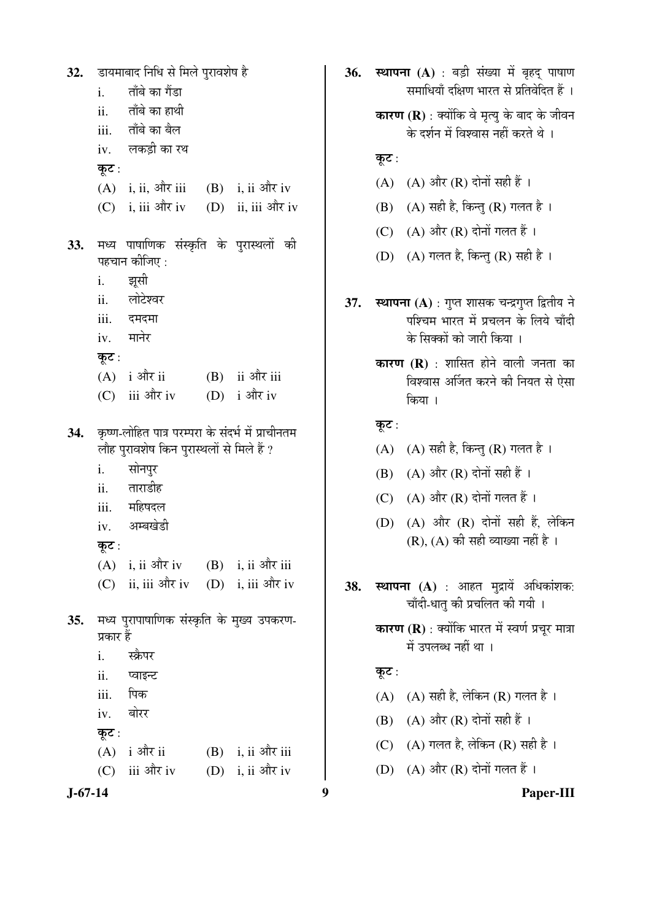डायमाबाद निधि से मिले पुरावशेष है 32. ताँबे का गैंडा  $\mathbf{i}$ . ताँबे का हाथी  $ii$ ताँबे का बैल iii. लकड़ी का रथ  $iv.$ कूट:  $(A)$  i. ii. और iii  $(B)$  i. ii और iv  $(C)$  i, iii और iv (D) ii, iii और iv मध्य पाषाणिक संस्कृति के पुरास्थलों की 33. पहचान कीजिए : i. झूसी लोटेश्वर ii. दमदमा  $iii$ मानेर iv. कुट:  $(A)$  i और ii (B) ii और iii  $(D)$  i और iv  $(C)$  iii और iv कृष्ण-लोहित पात्र परम्परा के संदर्भ में प्राचीनतम 34. लौह पुरावशेष किन पुरास्थलों से मिले हैं ? सोनपुर  $\mathbf{i}$ . ताराडीह  $ii.$ महिषदल  $iii$ अम्बखेडी  $iv.$ कुट:  $(B)$  i, ii और iii  $(A)$  i, ii और iv (D) i. iii और iv  $(C)$  ii, iii और iv 35. मध्य पुरापाषाणिक संस्कृति के मुख्य उपकरण-प्रकार हैं स्क्रैपर  $\mathbf{i}$ . प्वाइन्ट  $ii.$ पिक iii. बोरर iv. कूट :  $(A)$  i और ii  $(B)$  i, ii और iii (D) i, ii और iv  $(C)$  iii और iv

 $J-67-14$ 

36. स्थापना (A) : बड़ी संख्या में बृहद पाषाण समाधियाँ दक्षिण भारत से प्रतिवेदित हैं । कारण (R) : क्योंकि वे मृत्य के बाद के जीवन के दर्शन में विश्वास नहीं करते थे। कूट: (A) (A) और (R) दोनों सही हैं । (B) (A) सही है, किन्तु (R) गलत है। (C) (A) और (R) दोनों गलत हैं। (D) (A) गलत है, किन्तु (R) सही है। स्थापना (A) : गुप्त शासक चन्द्रगुप्त द्वितीय ने 37. पश्चिम भारत में प्रचलन के लिये चाँदी के सिक्कों को जारी किया । कारण (R) : शासित होने वाली जनता का विश्वास अर्जित करने की नियत से ऐसा किया । कुट: (A) (A) सही है, किन्तु (R) गलत है। (B) (A) और (R) दोनों सही हैं । (C)  $(A)$  और  $(R)$  दोनों गलत हैं। (D) (A) और (R) दोनों सही हैं. लेकिन  $(R)$ ,  $(A)$  की सही व्याख्या नहीं है। स्थापना (A) : आहत मुद्रायें अधिकांशक: 38. चाँदी-धात् की प्रचलित की गयी । कारण (R) : क्योंकि भारत में स्वर्ण प्रचुर मात्रा में उपलब्ध नहीं था । कूट: (A) (A) सही है, लेकिन (R) गलत है। (B) (A) और (R) दोनों सही हैं । (C) (A) गलत है, लेकिन (R) सही है। (D) (A) और (R) दोनों गलत हैं। 9 Paper-III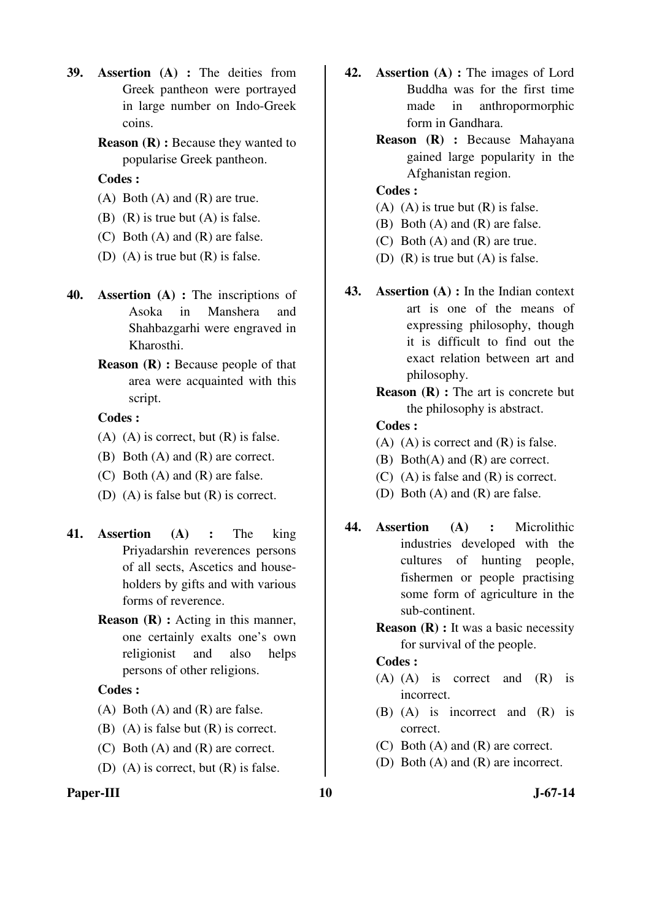- **39. Assertion (A) :** The deities from Greek pantheon were portrayed in large number on Indo-Greek coins.
	- **Reason (R) :** Because they wanted to popularise Greek pantheon.

- $(A)$  Both  $(A)$  and  $(R)$  are true.
- (B) (R) is true but (A) is false.
- (C) Both (A) and (R) are false.
- (D) (A) is true but (R) is false.
- **40. Assertion (A) :** The inscriptions of Asoka in Manshera and Shahbazgarhi were engraved in Kharosthi.
	- **Reason (R) :** Because people of that area were acquainted with this script.

#### **Codes :**

- $(A)$   $(A)$  is correct, but  $(R)$  is false.
- (B) Both (A) and (R) are correct.
- (C) Both (A) and (R) are false.
- (D) (A) is false but (R) is correct.
- **41. Assertion (A) :** The king Priyadarshin reverences persons of all sects, Ascetics and householders by gifts and with various forms of reverence.
	- **Reason (R) :** Acting in this manner, one certainly exalts one's own religionist and also helps persons of other religions.

# **Codes :**

- (A) Both (A) and (R) are false.
- (B)  $(A)$  is false but  $(R)$  is correct.
- (C) Both (A) and (R) are correct.
- (D) (A) is correct, but  $(R)$  is false.
- **42. Assertion (A) :** The images of Lord Buddha was for the first time made in anthropormorphic form in Gandhara.
	- **Reason (R) :** Because Mahayana gained large popularity in the Afghanistan region.

## **Codes :**

- (A) (A) is true but  $(R)$  is false.
- (B) Both (A) and (R) are false.
- (C) Both (A) and (R) are true.
- (D) (R) is true but (A) is false.
- **43. Assertion (A) :** In the Indian context art is one of the means of expressing philosophy, though it is difficult to find out the exact relation between art and philosophy.
	- **Reason (R) :** The art is concrete but the philosophy is abstract.

#### **Codes :**

- $(A)$   $(A)$  is correct and  $(R)$  is false.
- (B) Both(A) and (R) are correct.
- (C) (A) is false and (R) is correct.
- (D) Both (A) and (R) are false.
- **44. Assertion (A) :** Microlithic industries developed with the cultures of hunting people, fishermen or people practising some form of agriculture in the sub-continent.
	- **Reason (R) :** It was a basic necessity for survival of the people.

- (A) (A) is correct and (R) is incorrect.
- (B) (A) is incorrect and (R) is correct.
- (C) Both (A) and (R) are correct.
- (D) Both (A) and (R) are incorrect.
- Paper-III **10** J-67-14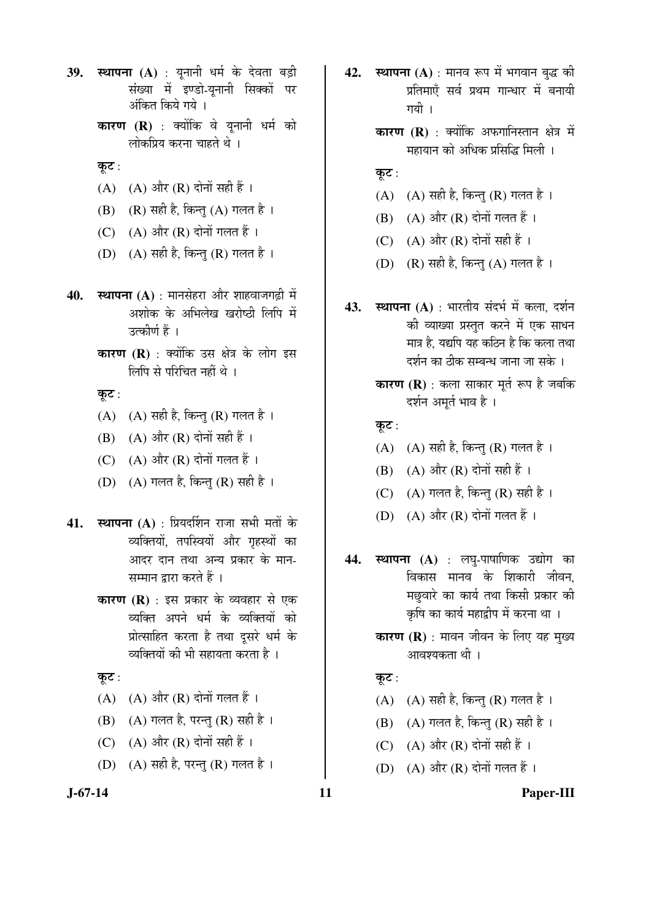- **39. स्थापना (A)** : युनानी धर्म के देवता बड़ी संख्या में इण्डो-युनानी सिक्कों पर ऑकत किये गये ।
	- **कारण (R)** : क्योंकि वे यूनानी धर्म को लोकप्रिय करना चाहते थे ।
	- कूट:
	- $(A)$   $(A)$  और  $(R)$  दोनों सही हैं।
	- $(B)$   $(R)$  सही है, किन्तु  $(A)$  गलत है।
	- $(C)$   $(A)$  और  $(R)$  दोनों गलत हैं।
	- (D)  $(A)$  सही है, किन्तु (R) गलत है।
- **40. स्थापना (A)** : मानसेहरा और शाहवाजगढ़ी में अशोक के अभिलेख खरोष्ठी लिपि में उत्कीर्ण हैं ।
	- **कारण (R)** : क्योंकि उस क्षेत्र के लोग इस लिपि से परिचित नहीं थे ।

कूट :

- $(A)$   $(A)$  सही है, किन्तु  $(R)$  गलत है।
- $(B)$   $(A)$  और  $(R)$  दोनों सही हैं।
- $(C)$   $(A)$  और  $(R)$  दोनों गलत हैं।
- (D)  $(A)$  गलत है, किन्तु (R) सही है।
- **41. स्थापना (A)** : प्रियदर्शिन राजा सभी मतों के व्यक्तियों, तपस्वियों और गृहस्थों का आदर दान तथा अन्य प्रकार के मान-सम्मान द्रारा करते हैं ।
	- **कारण (R)** : इस प्रकार के व्यवहार से एक व्यक्ति अपने धर्म के व्यक्तियों को प्रोत्साहित करता है तथा दूसरे धर्म के <u>व्यक्तियों की भी सहायता करता है</u> ।
	- कुट $:$
	- $(A)$   $(A)$  और  $(R)$  दोनों गलत हैं।
	- $(B)$   $(A)$  गलत है, परन्तु  $(R)$  सही है।
	- (C)  $(A)$  और  $(R)$  दोनों सही हैं।
	- (D)  $(A)$  सही है, परन्तु (R) गलत है।
- **42. स्थापना (A)** : मानव रूप में भगवान बुद्ध की प्रतिमाएँ सर्व प्रथम गान्धार में बनायी गयी ।
	- **कारण (R)** : क्योंकि अफगानिस्तान क्षेत्र में .<br>महायान को अधिक प्रसिद्धि मिली ।
	- कूट:
	- $(A)$   $(A)$  सही है, किन्तु  $(R)$  गलत है।
	- $(B)$   $(A)$  और  $(R)$  दोनों गलत हैं।
	- (C)  $(A)$  और  $(R)$  दोनों सही हैं।
	- (D)  $(R)$  सही है, किन्तु (A) गलत है।
- **43. स्थापना (A)** : भारतीय संदर्भ में कला, दर्शन की व्याख्या प्रस्तुत करने में एक साधन मात्र है. यद्यपि यह कठिन है कि कला तथा दर्शन का ठीक सम्बन्ध जाना जा सके ।
	- **कारण (R)** : कला साकार मूर्त रूप है जबकि दर्शन अमर्त भाव है ।

कूट:

- $(A)$   $(A)$  सही है, किन्तु  $(R)$  गलत है।
- $(B)$   $(A)$  और  $(R)$  दोनों सही हैं।
- (C)  $(A)$  गलत है, किन्तु (R) सही है।
- $(D)$   $(A)$  और  $(R)$  दोनों गलत हैं।
- **44. स्थापना (A)** : लघ्-पाषाणिक उद्योग का विकास मानव के शिकारी जीवन, मछवारे का कार्य तथा किसी प्रकार की कृषि का कार्य महाद्वीप में करना था ।
	- **कारण (R)** : मावन जीवन के लिए यह मुख्य आवश्यकता थी ।

#### कट :

- $(A)$   $(A)$  सही है, किन्तु  $(R)$  गलत है।
- $(B)$   $(A)$  गलत है, किन्तु  $(R)$  सही है ।
- (C)  $(A)$  और  $(R)$  दोनों सही हैं।
- $(D)$   $(A)$  और  $(R)$  दोनों गलत हैं।

**J-67-14 11 Paper-III**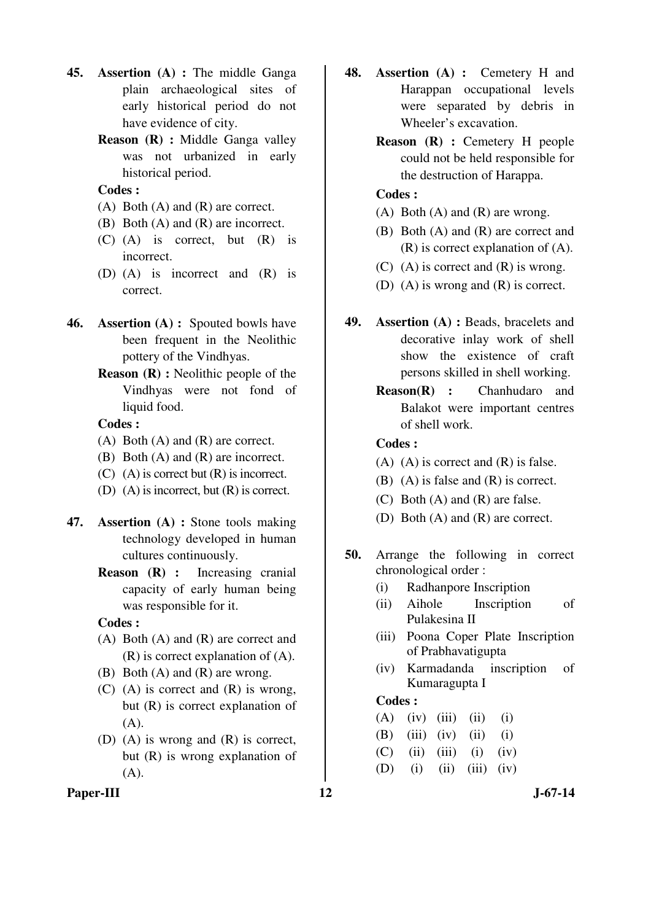- **45. Assertion (A) :** The middle Ganga plain archaeological sites of early historical period do not have evidence of city.
	- **Reason (R) :** Middle Ganga valley was not urbanized in early historical period.

- (A) Both (A) and (R) are correct.
- (B) Both (A) and (R) are incorrect.
- (C) (A) is correct, but (R) is incorrect.
- (D) (A) is incorrect and (R) is correct.
- **46. Assertion (A) :** Spouted bowls have been frequent in the Neolithic pottery of the Vindhyas.
	- **Reason (R) :** Neolithic people of the Vindhyas were not fond of liquid food.

#### **Codes :**

- (A) Both (A) and (R) are correct.
- (B) Both (A) and (R) are incorrect.
- (C) (A) is correct but (R) is incorrect.
- (D) (A) is incorrect, but (R) is correct.
- **47. Assertion (A) :** Stone tools making technology developed in human cultures continuously.
	- **Reason (R) :** Increasing cranial capacity of early human being was responsible for it.

#### **Codes :**

- (A) Both (A) and (R) are correct and (R) is correct explanation of (A).
- (B) Both (A) and (R) are wrong.
- (C) (A) is correct and (R) is wrong, but (R) is correct explanation of (A).
- (D) (A) is wrong and (R) is correct, but (R) is wrong explanation of (A).
- Paper-III **12** J-67-14
- **48. Assertion (A) :** Cemetery H and Harappan occupational levels were separated by debris in Wheeler's excavation.
	- **Reason (R) :** Cemetery H people could not be held responsible for the destruction of Harappa.

## **Codes :**

- (A) Both (A) and (R) are wrong.
- (B) Both (A) and (R) are correct and (R) is correct explanation of (A).
- (C) (A) is correct and  $(R)$  is wrong.
- (D) (A) is wrong and (R) is correct.
- **49. Assertion (A) :** Beads, bracelets and decorative inlay work of shell show the existence of craft persons skilled in shell working.
	- **Reason(R) :** Chanhudaro and Balakot were important centres of shell work.

#### **Codes :**

- (A) (A) is correct and (R) is false.
- (B) (A) is false and (R) is correct.
- (C) Both (A) and (R) are false.
- (D) Both (A) and (R) are correct.
- **50.** Arrange the following in correct chronological order :
	- (i) Radhanpore Inscription
	- (ii) Aihole Inscription of Pulakesina II
	- (iii) Poona Coper Plate Inscription of Prabhavatigupta
	- (iv) Karmadanda inscription of Kumaragupta I

|  | $(A)$ (iv) (iii) (ii) (i)       |  |  |
|--|---------------------------------|--|--|
|  | (B) $(iii)$ $(iv)$ $(ii)$ $(i)$ |  |  |
|  | (C) (ii) (iii) (i) (iv)         |  |  |
|  | (D) (i) (ii) (iii) (iv)         |  |  |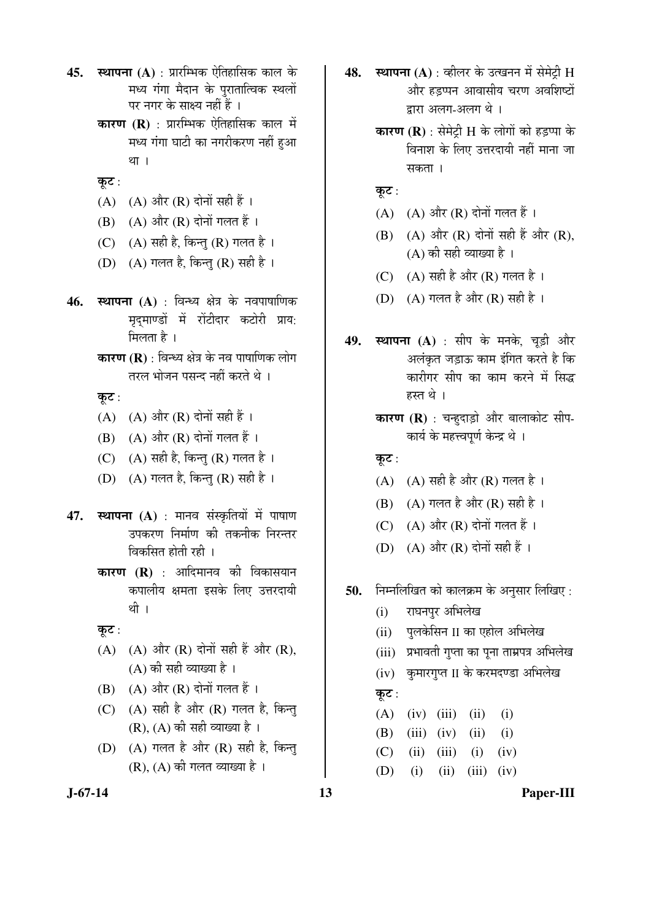- **45. स्थापना (A)** : प्रारम्भिक ऐतिहासिक काल के मध्य गंगा मैदान के पुरातात्विक स्थलों पर नगर के साक्ष्य नहीं हैं ।
	- **कारण (R)** : प्रारम्भिक ऐतिहासिक काल में मध्य गंगा घाटी का नगरीकरण नहीं हुआ था ।
	- कूट:
	- (A) (A) और  $(R)$  दोनों सही हैं।
	- $(B)$   $(A)$  और  $(R)$  दोनों गलत हैं।
	- (C)  $(A)$  सही है, किन्तु (R) गलत है।
	- (D)  $(A)$  गलत है, किन्तु (R) सही है।
- **46. स्थापना (A)** : विन्ध्य क्षेत्र के नवपाषाणिक मृदमाण्डों में रोंटीदार कटोरी प्राय: मिलता $\hat{\epsilon}$ ।
	- **कारण (R)** : विन्ध्य क्षेत्र के नव पाषाणिक लोग तरल भोजन पसन्द नहीं करते थे ।

कूट:

- $(A)$   $(A)$  और  $(R)$  दोनों सही हैं।
- $(B)$   $(A)$  और  $(R)$  दोनों गलत हैं।
- (C)  $(A)$  सही है, किन्तु (R) गलत है।
- (D)  $(A)$  गलत है, किन्तु (R) सही है।
- 47. स्थापना (A) : मानव संस्कृतियों में पाषाण उपकरण निर्माण की तकनीक निरन्तर विकसित होती रही ।
	- **कारण (R)** : आदिमानव की विकासयान कपालीय क्षमता इसके लिए उत्तरदायी थी ।
	- कुट:
	- $(A)$   $(A)$  और  $(R)$  दोनों सही हैं और  $(R)$ ,  $(A)$  की सही व्याख्या है।
	- $(B)$   $(A)$  और  $(R)$  दोनों गलत हैं।
	- $(C)$   $(A)$  सही है और  $(R)$  गलत है, किन्तु  $(R)$ ,  $(A)$  की सही व्याख्या है।
	- $(D)$   $(A)$  गलत है और  $(R)$  सही है, किन्त्  $(R)$ ,  $(A)$  की गलत व्याख्या है।
- **48. स्थापना (A)** : व्हीलर के उत्खनन में सेमेट्री H और हडप्पन आवासीय चरण अवशिष्टों द्वारा अलग-अलग थे।
	- **कारण (R)** : सेमेट्री H के लोगों को हड़प्पा के <u>विनाश के लिए उत्तरदायी नहीं माना जा</u> सकता ।
	- कूट :
	- $(A)$   $(A)$  और  $(R)$  दोनों गलत हैं।
	- $(B)$   $(A)$  और  $(R)$  दोनों सही हैं और  $(R)$ ,  $(A)$  की सही व्याख्या है।
	- (C)  $(A)$  सही है और (R) गलत है।
	- (D)  $(A)$  गलत है और  $(R)$  सही है।
- **49. स्थापना (A)** : सीप के मनके, चूड़ी और अलंकृत जड़ाऊ काम इंगित करते है कि कारीगर सीप का काम करने में सिद्ध हस्त थे ।
	- **कारण (R)** : चन्हुदाड़ो और बालाकोट सीप-कार्य के महत्त्वपूर्ण केन्द्र थे ।
	- कूट:
	- (A)  $(A)$  सही है और (R) गलत है।
	- $(B)$   $(A)$  गलत है और  $(R)$  सही है।
	- (C)  $(A)$  और  $(R)$  दोनों गलत हैं।
	- (D)  $(A)$  और  $(R)$  दोनों सही हैं।
- **50.** निम्नलिखित को कालक्रम के अनुसार लिखिए :
	- (i) राघनपुर अभिलेख
	- (ii) पलकेसिन II का एहोल अभिलेख
	- (iii) प्रभावती गुप्ता का पुना ताम्रपत्र अभिलेख
	- (iv) कुमारगुप्त II के करमदण्डा अभिलेख

# कूट :

 $(A)$   $(iv)$   $(iii)$   $(ii)$   $(i)$  (B) (iii) (iv) (ii) (i)  $(C)$  (ii) (iii) (i) (iv) (D) (i) (ii) (iii) (iv)

**J-67-14 13 Paper-III**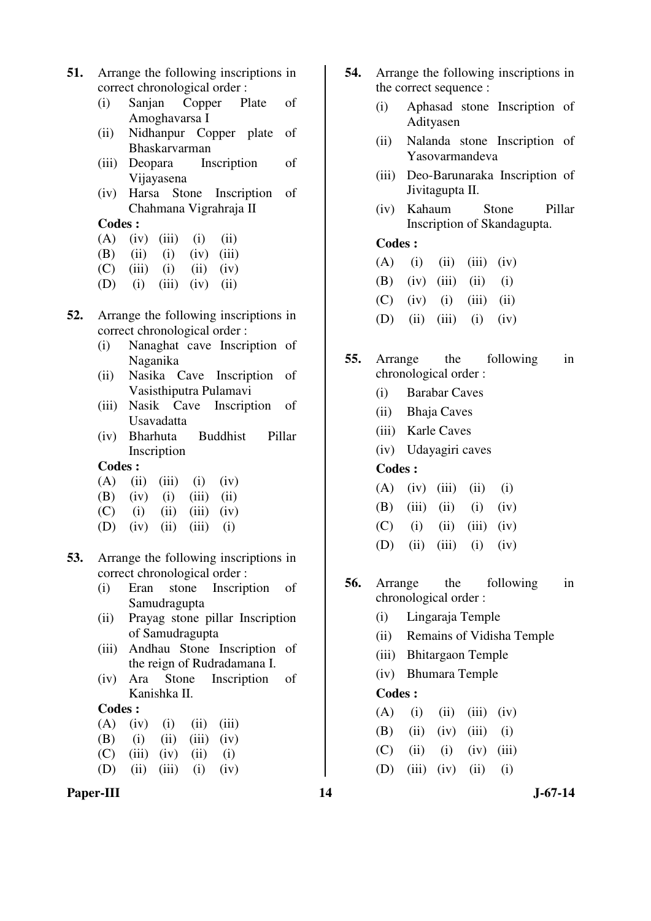- **51.** Arrange the following inscriptions in correct chronological order :
	- (i) Sanjan Copper Plate of Amoghavarsa I
	- (ii) Nidhanpur Copper plate of Bhaskarvarman
	- (iii) Deopara Inscription of Vijayasena
	- (iv) Harsa Stone Inscription of Chahmana Vigrahraja II

|  | $(A)$ (iv) (iii) (i) (ii) |                             |
|--|---------------------------|-----------------------------|
|  |                           | $\sim$ $\sim$ $\sim$ $\sim$ |

- (B) (ii) (i) (iv) (iii)
- $(C)$  (iii) (i) (ii) (iv)
- (D) (i) (iii) (iv) (ii)
- **52.** Arrange the following inscriptions in correct chronological order :
	- (i) Nanaghat cave Inscription of Naganika
	- (ii) Nasika Cave Inscription of Vasisthiputra Pulamavi
	- (iii) Nasik Cave Inscription of Usavadatta
	- (iv) Bharhuta Buddhist Pillar Inscription

# **Codes :**

- $(A)$  (ii) (iii) (i) (iv)
- (B) (iv) (i) (iii) (ii)
- $(C)$  (i) (ii) (iii) (iv)
- (D) (iv) (ii) (iii) (i)
- **53.** Arrange the following inscriptions in correct chronological order :
	- (i) Eran stone Inscription of Samudragupta
	- (ii) Prayag stone pillar Inscription of Samudragupta
	- (iii) Andhau Stone Inscription of the reign of Rudradamana I.
	- (iv) Ara Stone Inscription of Kanishka II.

#### **Codes :**

| $(A)$ $(iv)$ $(i)$ $(ii)$ $(iii)$ |  |  |
|-----------------------------------|--|--|
| (B) (i) (ii) (iii) (iv)           |  |  |
| $(C)$ (iii) (iv) (ii) (i)         |  |  |
| (D) (ii) (iii) (i) (iv)           |  |  |

#### Paper-III **14** J-67-14

- **54.** Arrange the following inscriptions in the correct sequence :
	- (i) Aphasad stone Inscription of Adityasen
	- (ii) Nalanda stone Inscription of Yasovarmandeva
	- (iii) Deo-Barunaraka Inscription of Jivitagupta II.
	- (iv) Kahaum Stone Pillar Inscription of Skandagupta.

# **Codes :**

- $(A)$  (i) (ii) (iii) (iv) (B) (iv) (iii) (ii) (i)  $(C)$  (iv) (i) (iii) (ii) (D) (ii) (iii) (i) (iv)
- **55.** Arrange the following in chronological order :
	- (i) Barabar Caves
	- (ii) Bhaja Caves
	- (iii) Karle Caves
	- (iv) Udayagiri caves

#### **Codes :**

- $(A)$   $(iv)$   $(iii)$   $(ii)$   $(i)$ (B) (iii) (ii) (i) (iv)  $(C)$  (i) (ii) (iii) (iv) (D) (ii) (iii) (i) (iv)
- **56.** Arrange the following in chronological order :
	- (i) Lingaraja Temple
	- (ii) Remains of Vidisha Temple
	- (iii) Bhitargaon Temple
	- (iv) Bhumara Temple

#### **Codes :**

|  | $(A)$ (i) (ii) (iii) (iv) |  |
|--|---------------------------|--|
|  | (B) (ii) (iv) (iii) (i)   |  |
|  | (C) (ii) (i) (iv) (iii)   |  |

(D) (iii) (iv) (ii) (i)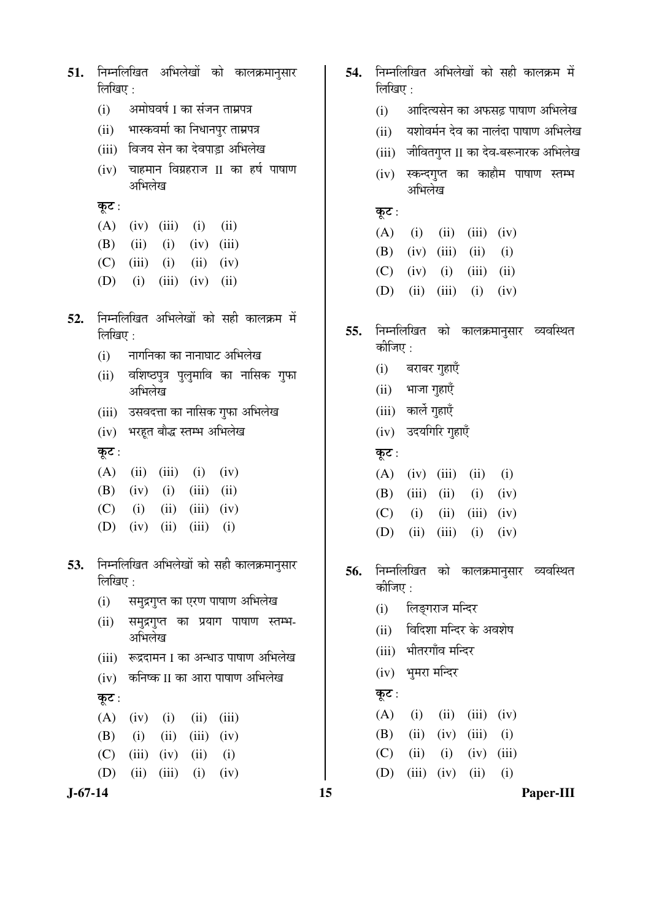**J-67-14 15 Paper-III** 51. निम्नलिखित अभिलेखों को कालक्रमानुसार लिखिए $\cdot$ (i) अमोघवर्ष I का संजन ताम्रपत्र (ii) भास्कवर्मा का निधानपुर ताम्रपत्र (iii) विजय सेन का देवपाड़ा अभिलेख  $(iv)$  चाहमान विग्रहराज  $\text{II}$  का हर्ष पाषाण अभिलेख कूट :  $(A)$  (iv) (iii) (i) (ii) (B) (ii) (i) (iv) (iii)  $(C)$  (iii) (i) (ii) (iv)  $(D)$  (i) (iii) (iv) (ii) 52. निम्नलिखित अभिलेखों को सही कालक्रम में लिखिए $:$  $(i)$  नागनिका का नानाघाट अभिलेख (ii) वशिष्ठपुत्र पुलुमावि का नासिक गुफा अभिलेख (iii) उसवदत्ता का नासिक गुफा अभिलेख (iv) भरहूत बौद्ध स्तम्भ अभिलेख कूट $:$  $(A)$  (ii) (iii) (i) (iv) (B) (iv) (i) (iii) (ii)  $(C)$  (i) (ii) (iii) (iv) (D) (iv) (ii) (iii) (i) 53. निम्नलिखित अभिलेखों को सही कालक्रमानुसार लिखिए $\cdot$ (i) समुद्रगुप्त का एरण पाषाण अभिलेख  $(ii)$  समुद्रगुप्त का प्रयाग पाषाण स्तम्भ-अभिलेख (iii) रूद्रदामन I का अन्धाउ पाषाण अभिलेख (iv) कनिष्क II का आरा पाषाण अभिलेख कूट:  $(A)$  (iv) (i) (ii) (iii) (B) (i) (ii) (iii) (iv)  $(C)$  (iii) (iv) (ii) (i) (D) (ii) (iii) (i) (iv)

- 54. निम्नलिखित अभिलेखों को सही कालक्रम में  $\widehat{\mathbb{M}}$ खिए $\cdot$ 
	- (i) आदित्यसेन का अफसढ़ पाषाण अभिलेख
	- (ii) यशोवर्मन देव का नालंदा पाषाण अभिलेख
	- (iii) जीवितगुप्त II का देव-बरूनारक अभिलेख
	- (iv) स्कन्दगुप्त का काहौम पाषाण स्तम्भ अभिलेख

कूट:

- $(A)$  (i) (ii) (iii) (iv)
- (B) (iv) (iii) (ii) (i)
- $(C)$  (iv) (i) (iii) (ii)
- (D) (ii) (iii) (i) (iv)
- **55.** निम्नलिखित को कालक्रमानुसार व्यवस्थित कीजिए $\cdot$ 
	- $(i)$  बराबर गुहाएँ
	- $(ii)$  भाजा गहाएँ
	- (iii) कार्ले गुहाएँ
	- (iv) उदयगिरि गुहाएँ
	- कूट:
	- $(A)$  (iv) (iii) (ii) (i) (B) (iii) (ii) (i) (iv)  $(C)$  (i) (ii) (iii) (iv) (D) (ii) (iii) (i) (iv)
- 56. निम्नलिखित को कालक्रमानुसार व्यवस्थित कीजिए $\cdot$ 
	- (i) लिङ्गराज मन्दिर
	- (ii) लिदिशा मन्दिर के अवशेष
	- (iii) भीतरगाँव मन्दिर
	- (iv) भूमरा मन्दिर
	- कूट:
	- $(A)$  (i) (ii) (iii) (iv)
	- (B) (ii) (iv) (iii) (i)
	- $(C)$  (ii) (i) (iv) (iii)
	- (D) (iii) (iv) (ii) (i)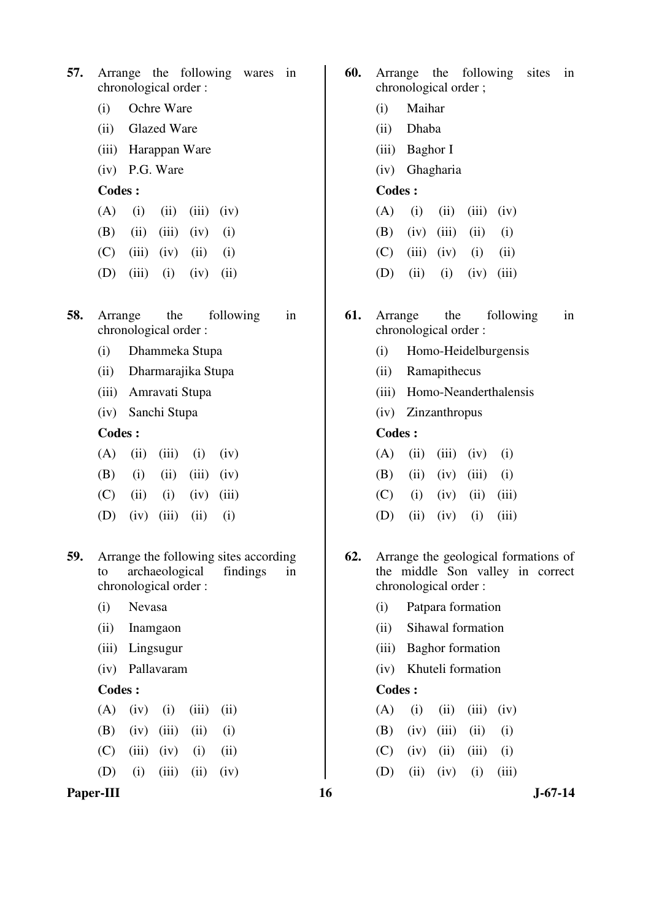|                      |  | 57. Arrange the following wares in |  |
|----------------------|--|------------------------------------|--|
| chronological order: |  |                                    |  |

- (i) Ochre Ware
- (ii) Glazed Ware
- (iii) Harappan Ware
- (iv) P.G. Ware

- $(A)$  (i) (ii) (iii) (iv)
- (B) (ii) (iii) (iv) (i)
- $(C)$  (iii) (iv) (ii) (i)
- (D) (iii) (i) (iv) (ii)
- **58.** Arrange the following in chronological order :
	- (i) Dhammeka Stupa
	- (ii) Dharmarajika Stupa
	- (iii) Amravati Stupa
	- (iv) Sanchi Stupa

#### **Codes :**

- $(A)$  (ii) (iii) (i) (iv)  $(B)$  (i) (ii) (iii) (iv)  $(C)$  (ii) (i) (iv) (iii)  $(D)$   $(iv)$   $(iii)$   $(ii)$   $(i)$
- **59.** Arrange the following sites according to archaeological findings in chronological order :
	- (i) Nevasa
	- (ii) Inamgaon
	- (iii) Lingsugur
	- (iv) Pallavaram

## **Codes :**

|  | $(A)$ (iv) (i) (iii) (ii) |  |
|--|---------------------------|--|
|  | (B) (iv) (iii) (ii) (i)   |  |
|  | (C) (iii) (iv) (i) (ii)   |  |
|  | (D) (i) (iii) (ii) (iv)   |  |

#### Paper-III **16** J-67-14

- **60.** Arrange the following sites in chronological order ;
	- (i) Maihar
	- (ii) Dhaba
	- (iii) Baghor I
	- (iv) Ghagharia

# **Codes :**

- $(A)$  (i) (ii) (iii) (iv)
- (B) (iv) (iii) (ii) (i)
- $(C)$  (iii) (iv) (i) (ii)
- (D) (ii) (i) (iv) (iii)
- **61.** Arrange the following in chronological order :
	- (i) Homo-Heidelburgensis
	- (ii) Ramapithecus
	- (iii) Homo-Neanderthalensis
	- (iv) Zinzanthropus

#### **Codes :**

- $(A)$  (ii) (iii) (iv) (i)
- $(B)$  (ii) (iv) (iii) (i)
- $(C)$  (i) (iv) (ii) (iii)
- (D) (ii) (iv) (i) (iii)
- **62.** Arrange the geological formations of the middle Son valley in correct chronological order :
	- (i) Patpara formation
	- (ii) Sihawal formation
	- (iii) Baghor formation
	- (iv) Khuteli formation

|  |  | $(A)$ (i) (ii) (iii) (iv) |  |
|--|--|---------------------------|--|
|  |  | (B) (iv) (iii) (ii) (i)   |  |
|  |  | $(C)$ (iv) (ii) (iii) (i) |  |
|  |  | (D) (ii) (iv) (i) (iii)   |  |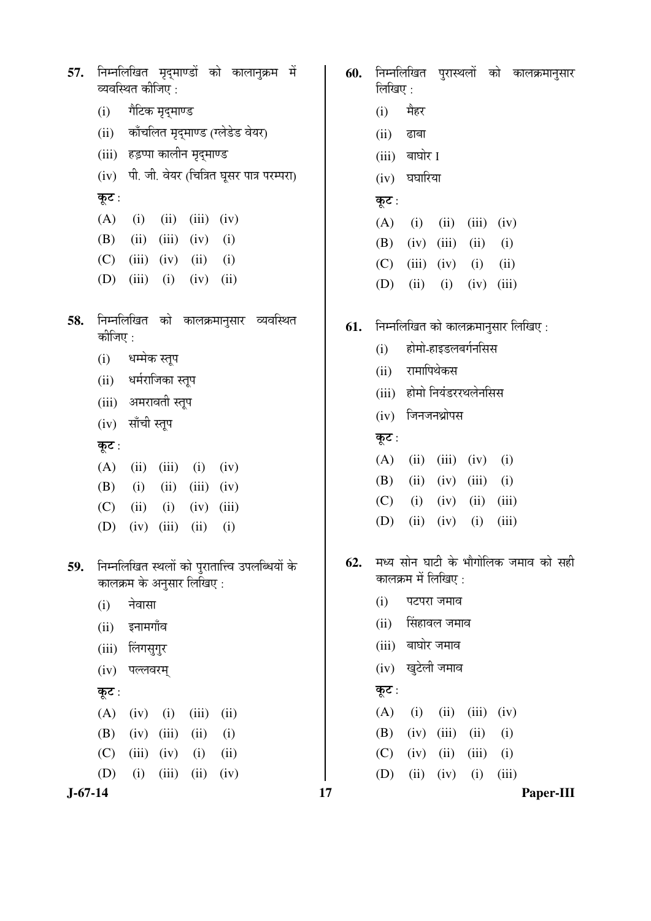| 57.       | निम्नलिखित मृद्माण्डों को कालानुक्रम<br>- में<br>60.<br>व्यवस्थित कीजिए :           | निम्नलिखित<br>पुरास्थलों को<br>कालक्रमानुसार<br>लिखिए :     |
|-----------|-------------------------------------------------------------------------------------|-------------------------------------------------------------|
|           | गैटिक मृद्माण्ड<br>(i)                                                              | मैहर<br>(i)                                                 |
|           | काँचलित मृद्माण्ड (ग्लेडेड वेयर)<br>(ii)                                            | (ii)<br>ढाबा                                                |
|           | हड़प्पा कालीन मृद्माण्ड<br>(iii)                                                    | बाघोर I<br>(iii)                                            |
|           | पी. जी. वेयर (चित्रित घूसर पात्र परम्परा)<br>(iv)                                   | घघारिया<br>(iv)                                             |
|           | कूट :                                                                               | कूट :                                                       |
|           | (A)<br>(ii)<br>(i)<br>(iii)<br>(iv)                                                 | (A)<br>(i)<br>(ii)<br>(iii)<br>(iv)                         |
|           | (B)<br>(ii)<br>(iii)<br>(iv)<br>(i)                                                 | (B)<br>(iv)<br>(iii)<br>(ii)<br>(i)                         |
|           | (C)<br>(iii)<br>(iv)<br>(ii)<br>(i)                                                 | (C)<br>(iii)<br>(iv)<br>(ii)<br>(i)                         |
|           | (D)<br>(iii)<br>(i)<br>(ii)<br>(iv)                                                 | (ii)<br>(D)<br>(iii)<br>(i)<br>(iv)                         |
| 58.       | को कालक्रमानुसार<br>व्यवस्थित<br>निम्नलिखित<br>61.<br>कीजिए :                       | निम्नलिखित को कालक्रमानुसार लिखिए:                          |
|           | धम्मेक स्तूप<br>(i)                                                                 | होमो-हाइडलबर्गनसिस<br>(i)                                   |
|           | धर्मराजिका स्तूप<br>(ii)                                                            | रामापिथेकस<br>(ii)                                          |
|           | अमरावती स्तूप<br>(iii)                                                              | होमो नियंडररथलेनसिस<br>(iii)                                |
|           | साँची स्तूप<br>(iv)                                                                 | जिनजनथ्रोपस<br>(iv)                                         |
|           | कूट :                                                                               | कूट :                                                       |
|           | (A)<br>(ii)<br>(iii)<br>(i)<br>(iv)                                                 | (A)<br>(ii)<br>(iii)<br>(i)<br>(iv)                         |
|           | (B)<br>(i)<br>(ii)<br>(iii)<br>(iv)                                                 | (B)<br>(ii)<br>(iii)<br>(iv)<br>(i)                         |
|           | (C)<br>(ii)<br>(i)<br>(iv)<br>(iii)                                                 | (C)<br>(i)<br>(iii)<br>(iv)<br>(ii)                         |
|           | (D)<br>(iii)<br>(i)<br>(iv)<br>(ii)                                                 | (D)<br>(ii)<br>(iv)<br>(iii)<br>(i)                         |
| 59.       | 62.<br>निम्नलिखित स्थलों को पुरातात्त्वि उपलब्धियों के<br>कालक्रम के अनुसार लिखिए : | मध्य सोन घाटी के भौगोलिक जमाव को सही<br>कालक्रम में लिखिए : |
|           | नेवासा<br>(i)                                                                       | पटपरा जमाव<br>(i)                                           |
|           | इनामगाँव<br>(ii)                                                                    | सिंहावल जमाव<br>(ii)                                        |
|           | लिंगसुगुर<br>(iii)                                                                  | बाघोर जमाव<br>(iii)                                         |
|           | पल्लवरम्<br>(iv)                                                                    | खुटेली जमाव<br>(iv)                                         |
|           | कूट :                                                                               | कूट :                                                       |
|           | (A)<br>(iv)<br>(i)<br>(iii)<br>(ii)                                                 | (A)<br>(i)<br>(ii)<br>(iii)<br>(iv)                         |
|           | (B)<br>(iii)<br>(iv)<br>(ii)<br>(i)                                                 | (B)<br>(iv)<br>(iii)<br>(ii)<br>(i)                         |
|           | (iii)<br>(C)<br>(ii)<br>(iv)<br>(i)                                                 | (C)<br>(iv)<br>(ii)<br>(iii)<br>(i)                         |
|           | (D)<br>(i)<br>(iii)<br>(ii)<br>(iv)                                                 | (D)<br>(ii)<br>(iii)<br>(iv)<br>(i)                         |
| $J-67-14$ | 17                                                                                  | Paper-III                                                   |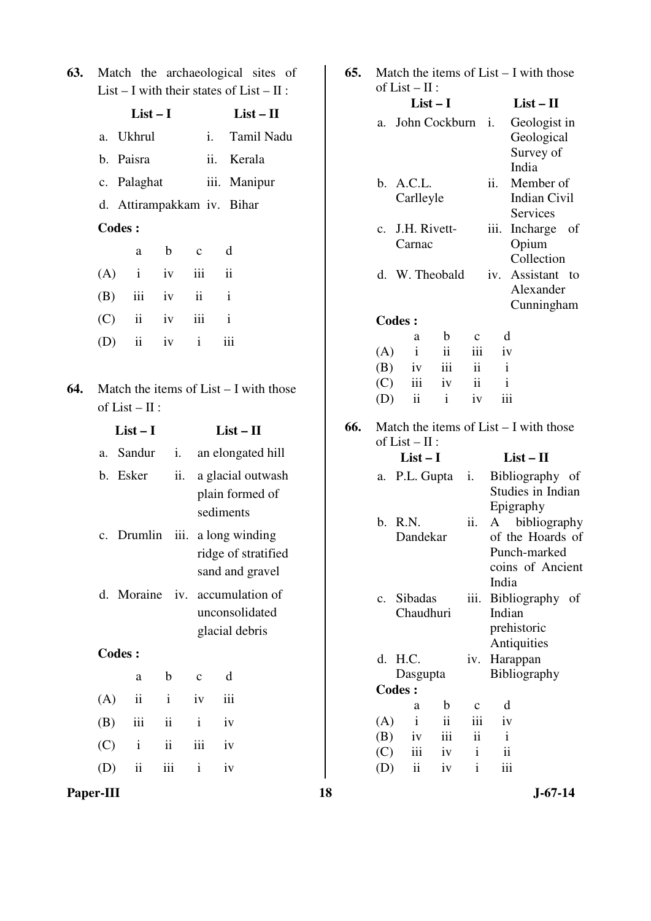|  | <b>63.</b> Match the archaeological sites of |  |
|--|----------------------------------------------|--|
|  | List – I with their states of List – II :    |  |

|     |     |                            |              | $\mathbf{u}$ $\mathbf{v}$ $\mathbf{u}$ |                                          |
|-----|-----|----------------------------|--------------|----------------------------------------|------------------------------------------|
|     |     | $List-I$                   |              |                                        | $List - II$                              |
|     | a.  | Ukhrul                     |              | i.                                     | Tamil Nadu                               |
|     |     | b. Paisra                  |              | ii.                                    | Kerala                                   |
|     |     | c. Palaghat                |              |                                        | iii. Manipur                             |
|     |     | d. Attirampakkam iv. Bihar |              |                                        |                                          |
|     |     | <b>Codes:</b>              |              |                                        |                                          |
|     |     | a                          | $\mathbf b$  | $\mathbf c$                            | d                                        |
|     | (A) | $\mathbf{i}$               | iv           | iii                                    | $\ddot{\mathbf{i}}$                      |
|     |     | $(B)$ iii iv               |              | $\mathbf{ii}$                          | $\mathbf{i}$                             |
|     |     | $(C)$ ii                   | iv           | iii                                    | $\mathbf{i}$                             |
|     | (D) | $\mathbf{ii}$              | iv           | $\mathbf{i}$                           | iii                                      |
|     |     |                            |              |                                        |                                          |
| 64. |     |                            |              |                                        | Match the items of $List - I$ with those |
|     |     | of $List - II$ :           |              |                                        |                                          |
|     |     | $List-I$                   |              |                                        | $List - II$                              |
|     |     | a. Sandur                  | i.           |                                        | an elongated hill                        |
|     |     | b. Esker                   | ii.          |                                        | a glacial outwash                        |
|     |     |                            |              |                                        | plain formed of                          |
|     |     |                            |              |                                        | sediments                                |
|     |     | c. Drumlin iii.            |              |                                        | a long winding<br>ridge of stratified    |
|     |     |                            |              |                                        | sand and gravel                          |
|     | d.  | Moraine                    |              |                                        | iv. accumulation of                      |
|     |     |                            |              |                                        | unconsolidated                           |
|     |     |                            |              |                                        | glacial debris                           |
|     |     | <b>Codes:</b>              |              |                                        |                                          |
|     |     | a                          | b            | $\mathbf c$                            | d                                        |
|     | (A) | ii                         | $\mathbf{i}$ | iv                                     | iii                                      |
|     | (B) | iii                        | ii           | i                                      | iv                                       |
|     | (C) | $\mathbf{i}$               | ii           | iii                                    | iv                                       |
|     | (D) | ii                         | iii          | $\mathbf{i}$                           | iv                                       |

| 65. | Match the items of $List - I$ with those<br>of $List - II$ : |                              |                     |              |                                                                           |                                                              |  |  |
|-----|--------------------------------------------------------------|------------------------------|---------------------|--------------|---------------------------------------------------------------------------|--------------------------------------------------------------|--|--|
|     |                                                              |                              | $List-I$            |              |                                                                           | $List - II$                                                  |  |  |
|     | John Cockburn<br>a.                                          |                              |                     |              | i.                                                                        | Geologist in<br>Geological<br>Survey of                      |  |  |
|     |                                                              | b. A.C.L.<br>Carlleyle       |                     |              | ii.                                                                       | India<br>Member of<br><b>Indian Civil</b><br><b>Services</b> |  |  |
|     | $\mathbf{c}$ .                                               | J.H. Rivett-<br>Carnac       |                     |              | iii.                                                                      | Incharge of<br>Opium<br>Collection                           |  |  |
|     |                                                              | d. W. Theobald               |                     | iv.          | Assistant<br>to<br>Alexander<br>Cunningham                                |                                                              |  |  |
|     |                                                              | <b>Codes:</b>                |                     |              |                                                                           |                                                              |  |  |
|     |                                                              | a                            | b                   | $\mathbf{c}$ | d                                                                         |                                                              |  |  |
|     | (A)                                                          | $\mathbf{i}$                 | ii                  | iii          | iv                                                                        |                                                              |  |  |
|     | (B)                                                          | iv                           | iii                 | ii           | $\mathbf{i}$                                                              |                                                              |  |  |
|     | (C)                                                          | iii                          | iv                  | ii           | $\mathbf{1}$                                                              |                                                              |  |  |
|     | (D)                                                          | ii                           | $\mathbf{i}$        | iv           | iii                                                                       |                                                              |  |  |
| 66. |                                                              | of $List - II$ :<br>$List-I$ |                     |              |                                                                           | Match the items of $List - I$ with those                     |  |  |
|     |                                                              |                              |                     |              |                                                                           | $List-II$                                                    |  |  |
|     | а.                                                           | P.L. Gupta                   |                     | i.           |                                                                           | Bibliography of<br>Studies in Indian<br>Epigraphy            |  |  |
|     |                                                              | b. R.N.<br>Dandekar          |                     |              | bibliography<br>A<br>of the Hoards of<br>Punch-marked<br>coins of Ancient |                                                              |  |  |
|     | $\mathbf{c}$ .                                               | Sibadas<br>Chaudhuri         |                     | iii.         | India<br>Indian                                                           | Bibliography of<br>prehistoric                               |  |  |
|     | d.                                                           | H.C.<br>Dasgupta             |                     | iv.          |                                                                           | Antiquities<br>Harappan<br>Bibliography                      |  |  |
|     |                                                              | <b>Codes:</b>                |                     |              |                                                                           |                                                              |  |  |
|     |                                                              | a                            | b                   | $\mathbf c$  | d                                                                         |                                                              |  |  |
|     | (A)                                                          | $\mathbf{i}$                 | $\ddot{\mathbf{i}}$ | iii          | iv                                                                        |                                                              |  |  |
|     | (B)                                                          | iv                           | iii                 | ii           | i                                                                         |                                                              |  |  |
|     | (C)                                                          | iii                          | iv                  | i            | ii                                                                        |                                                              |  |  |
|     | (D)                                                          | ii                           | iv                  | $\mathbf{i}$ | iii                                                                       |                                                              |  |  |

**Paper-III** 18 J-67-14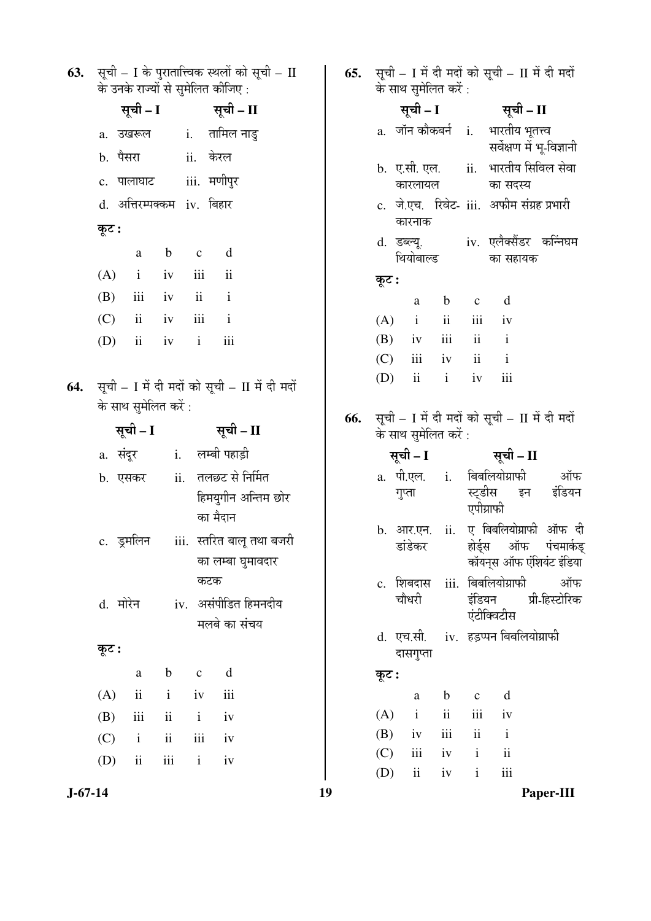| 63. | सूची – I के पुरातात्त्विक स्थलों को सूची – II<br>के उनके राज्यों से सुमेलित कीजिए : |                |                         |                      |                             | 65. |            | के साथ सुमेलित करें :    |                     |                          | सूची – I में दी मदों को सूची – II में दी मदों |                       |
|-----|-------------------------------------------------------------------------------------|----------------|-------------------------|----------------------|-----------------------------|-----|------------|--------------------------|---------------------|--------------------------|-----------------------------------------------|-----------------------|
|     | सूची – I                                                                            |                |                         | सूची – II            |                             |     |            | सूची – I                 |                     |                          | सूची – II                                     |                       |
|     | a. उखरूल                                                                            | $\mathbf{i}$ . |                         | तामिल नाडु           |                             |     |            | a. जॉन कौकबर्न i.        |                     |                          | भारतीय भूतत्त्व<br>सर्वेक्षण में भू-विज्ञानी  |                       |
|     | b. पैसरा                                                                            |                | ii. केरल                |                      |                             |     |            | b. ए.सी. एल.             |                     | ii.                      | भारतीय सिविल सेवा                             |                       |
|     | c. पालाघाट                                                                          |                | iii. मणीपुर             |                      |                             |     |            | कारलायल                  |                     |                          | का सदस्य                                      |                       |
|     | d. अत्तिरम्पक्कम iv. बिहार<br>कूट :                                                 |                |                         |                      |                             |     |            | कारनाक                   |                     |                          | c. जे.एच. रिवेट- iii. अफीम संग्रह प्रभारी     |                       |
|     |                                                                                     |                |                         |                      |                             |     |            |                          |                     |                          | d. डब्ल्यू.     iv. एलैक्सैंडर कन्निघम        |                       |
|     | a                                                                                   | $\mathbf b$    | $\mathbf c$             | d                    |                             |     |            | थियोबाल्ड                |                     |                          | का सहायक                                      |                       |
|     | (A)<br>$\mathbf{i}$                                                                 | iv             | iii                     | $\ddot{\rm n}$       |                             |     | कूट :      |                          |                     |                          |                                               |                       |
|     | (B)<br>iii                                                                          | iv             | $\overline{\mathbf{1}}$ | $\mathbf{i}$         |                             |     |            | a                        | $\mathbf b$         | $\mathbf c$              | d                                             |                       |
|     | (C)<br>$\overline{\mathbf{u}}$                                                      | iv             | iii                     | $\mathbf{i}$         |                             |     | (A)        | $\mathbf{i}$             | ii                  | iii                      | iv                                            |                       |
|     | (D)<br>$\overline{\mathbf{u}}$                                                      | iv             | $\mathbf{i}$            | iii                  |                             |     | (B)<br>(C) | iv<br>iii                | iii<br>iv           | ii<br>ii                 | $\mathbf{i}$<br>$\mathbf{i}$                  |                       |
|     |                                                                                     |                |                         |                      |                             |     | (D)        | $\overline{\textbf{ii}}$ | $\mathbf{i}$        | iv                       | iii                                           |                       |
| 64. | सूची – I में दी मदों को सूची – II में दी मदों                                       |                |                         |                      |                             |     |            |                          |                     |                          |                                               |                       |
|     | के साथ सुमेलित करें:                                                                |                |                         |                      |                             | 66. |            |                          |                     |                          | सूची – I में दी मदों को सूची – II में दी मदों |                       |
|     | सूची – I                                                                            |                |                         | सूची – II            |                             |     |            | के साथ सुमेलित करें :    |                     |                          |                                               |                       |
|     | a. संदूर 1. लम्बी पहाड़ी                                                            |                |                         |                      |                             |     |            | सूची – I                 |                     |                          | सूची – II                                     |                       |
|     | b. एसकर ii. तलछट से निर्मित                                                         |                |                         |                      |                             |     |            |                          |                     |                          | a. पी.एल. i. बिबलियोग्राफी                    | ऑफ                    |
|     |                                                                                     |                |                         | हिमयुगीन अन्तिम छोर  |                             |     |            | गुप्ता                   |                     | स्टडीस<br>एपीग्राफी      | इन                                            | इंडियन                |
|     |                                                                                     |                |                         | का मैदान             |                             |     |            | b. आर.एन. ii.            |                     |                          |                                               | ए बिबलियोग्राफी ऑफ दी |
|     | c. डुमलिन                                                                           |                |                         |                      | iii.   स्तरित बालू तथा बजरी |     |            | डांडेकर                  |                     |                          | होर्ड्स ऑफ                                    | पंचमार्कड             |
|     |                                                                                     |                |                         | का लम्बा घुमावदार    |                             |     |            |                          |                     |                          | कॉयन्स ऑफ एंशियंट इंडिया                      |                       |
|     |                                                                                     |                | कटक                     |                      |                             |     |            | c. शिबदास                |                     |                          | iii. बिबलियोग्राफी                            | ऑफ                    |
|     | d. मोरेन                                                                            |                |                         | iv. असंपीडित हिमनदीय |                             |     |            | चौधरी                    |                     | इंडियन                   | एंटीक्विटीस                                   | प्री-हिस्टोरिक        |
|     |                                                                                     |                |                         | मलबे का संचय         |                             |     |            | d. एच.सी.                |                     |                          | iv. हड़प्पन बिबलियोग्राफी                     |                       |
|     | कूट :                                                                               |                |                         |                      |                             |     |            | दासगुप्ता                |                     |                          |                                               |                       |
|     | a                                                                                   | $\mathbf b$    | $\mathbf{C}$            | d                    |                             |     | कूट :      |                          |                     |                          |                                               |                       |
|     | $\ddot{\mathbf{i}}$<br>(A)                                                          | $\mathbf{i}$   | iv                      | iii                  |                             |     |            | a                        | $\mathbf b$         | $\mathbf{C}$             | d                                             |                       |
|     | (B)<br>iii                                                                          | $\rm ii$       | $\mathbf{i}$            | iv                   |                             |     | (A)        | $\mathbf{i}$             | $\ddot{\mathbf{i}}$ | iii                      | iv                                            |                       |
|     | (C)<br>$\mathbf{i}$                                                                 | $\mathbf{ii}$  | iii                     | iv                   |                             |     | (B)        | iv                       | $\rm iii$           | $\overline{\textbf{ii}}$ | $\mathbf{i}$                                  |                       |
|     | (D)<br>$\ddot{\mathbf{i}}$                                                          | iii            | $\mathbf{i}$            | iv                   |                             |     | (C)        | iii                      | iv                  | $\mathbf{i}$             | ii                                            |                       |
|     |                                                                                     |                |                         |                      |                             |     | (D)        | $\mathbf{ii}$            | iv                  | $\mathbf{i}$             | iii                                           |                       |
|     | $J-67-14$                                                                           |                |                         |                      |                             | 19  |            |                          |                     |                          |                                               | Paper-III             |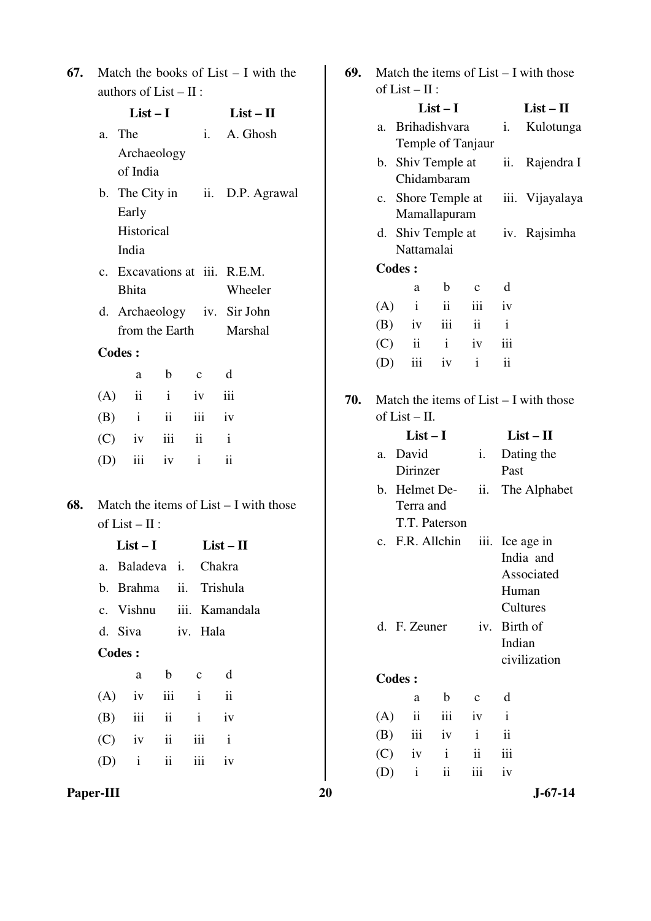| 67. Match the books of List $- I$ with the |
|--------------------------------------------|
| authors of $List - II$ :                   |

|     |                | $List-I$                      |               |               |                         | $List-II$                                |
|-----|----------------|-------------------------------|---------------|---------------|-------------------------|------------------------------------------|
|     | a. The         |                               |               |               |                         | i. A. Ghosh                              |
|     |                | Archaeology                   |               |               |                         |                                          |
|     |                | of India                      |               |               |                         |                                          |
|     |                |                               |               |               |                         | b. The City in ii. D.P. Agrawal          |
|     |                | Early                         |               |               |                         |                                          |
|     |                | Historical                    |               |               |                         |                                          |
|     |                | India                         |               |               |                         |                                          |
|     |                | c. Excavations at iii. R.E.M. |               |               |                         |                                          |
|     |                | <b>Bhita</b>                  |               |               |                         | Wheeler                                  |
|     |                | d. Archaeology iv. Sir John   |               |               |                         |                                          |
|     |                | from the Earth Marshal        |               |               |                         |                                          |
|     | <b>Codes:</b>  |                               |               |               |                         |                                          |
|     |                |                               |               | a b c         | $\mathbf d$             |                                          |
|     |                | $(A)$ ii i iv iii             |               |               |                         |                                          |
|     |                | $(B)$ i ii iii iv             |               |               |                         |                                          |
|     |                | $(C)$ iv iii ii i             |               |               |                         |                                          |
|     |                | (D) iii iv i ii               |               |               |                         |                                          |
|     |                |                               |               |               |                         |                                          |
| 68. |                |                               |               |               |                         | Match the items of $List - I$ with those |
|     |                | of $List - II$ :              |               |               |                         |                                          |
|     |                | $List-I$                      |               |               | $List - II$             |                                          |
|     |                | a. Baladeva i. Chakra         |               |               |                         |                                          |
|     |                | b. Brahma ii. Trishula        |               |               |                         |                                          |
|     |                | c. Vishnu iii. Kamandala      |               |               |                         |                                          |
|     |                | d. Siva iv. Hala              |               |               |                         |                                          |
|     | <b>Codes :</b> |                               |               |               |                         |                                          |
|     |                | a                             | $\mathbf b$   | $\mathbf{c}$  | $\mathbf d$             |                                          |
|     |                | $(A)$ iv                      |               | $iii \quad i$ | $\overline{\mathbf{u}}$ |                                          |
|     |                | $(B)$ iii ii i iv             |               |               |                         |                                          |
|     |                | $(C)$ iv ii iii i             |               |               |                         |                                          |
|     |                | $(D)$ i                       | $\mathbf{ii}$ | iii           | iv                      |                                          |
|     |                |                               |               |               |                         |                                          |

**Paper-III** 20 J-67-14

| 69. | Match the items of List - I with those   |                         |                         |              |                     |                         |  |  |  |
|-----|------------------------------------------|-------------------------|-------------------------|--------------|---------------------|-------------------------|--|--|--|
|     |                                          | of $List - II$ :        |                         |              |                     |                         |  |  |  |
|     |                                          |                         | $List-I$                |              |                     | $List-II$               |  |  |  |
|     | a.                                       |                         | Brihadishvara           | i.           | Kulotunga           |                         |  |  |  |
|     |                                          |                         | Temple of Tanjaur       |              |                     |                         |  |  |  |
|     |                                          |                         | b. Shiv Temple at       |              |                     | ii. Rajendra I          |  |  |  |
|     |                                          |                         | Chidambaram             |              |                     |                         |  |  |  |
|     | c.                                       |                         | Shore Temple at         |              |                     | iii. Vijayalaya         |  |  |  |
|     |                                          |                         | Mamallapuram            |              |                     |                         |  |  |  |
|     | d.                                       |                         | Shiv Temple at          |              |                     | iv. Rajsimha            |  |  |  |
|     |                                          | Nattamalai              |                         |              |                     |                         |  |  |  |
|     | <b>Codes:</b>                            |                         |                         |              |                     |                         |  |  |  |
|     |                                          | a                       | b                       | $\mathbf{c}$ | d                   |                         |  |  |  |
|     | (A)                                      | $\mathbf{i}$            | $\overline{\mathbf{u}}$ | iii          | $i\mathbf{v}$       |                         |  |  |  |
|     |                                          |                         | $(B)$ iv iii ii         |              | $\mathbf{i}$        |                         |  |  |  |
|     | (C)                                      | $\overline{\mathbf{u}}$ | $\mathbf{i}$            | iv           | iii                 |                         |  |  |  |
|     | (D)                                      | iii l                   | iv                      | $\mathbf{i}$ | $\ddot{\mathbf{i}}$ |                         |  |  |  |
|     |                                          |                         |                         |              |                     |                         |  |  |  |
| 70. | Match the items of $List - I$ with those |                         |                         |              |                     |                         |  |  |  |
|     |                                          | of $List - II$ .        |                         |              |                     |                         |  |  |  |
|     |                                          | $List-I$                |                         | $List - II$  |                     |                         |  |  |  |
|     | a.                                       | David                   |                         | i.           | Dating the          |                         |  |  |  |
|     | Dirinzer                                 |                         |                         |              | Past                |                         |  |  |  |
|     |                                          |                         |                         |              |                     |                         |  |  |  |
|     |                                          |                         | b. Helmet De-           | ii.          |                     | The Alphabet            |  |  |  |
|     |                                          | Terra and               |                         |              |                     |                         |  |  |  |
|     |                                          |                         | T.T. Paterson           |              |                     |                         |  |  |  |
|     |                                          |                         | c. F.R. Allchin         |              |                     | iii. Ice age in         |  |  |  |
|     |                                          |                         |                         |              |                     | India and<br>Associated |  |  |  |
|     |                                          |                         |                         |              |                     | Human                   |  |  |  |
|     |                                          |                         |                         |              |                     | Cultures                |  |  |  |
|     |                                          | d. F. Zeuner            |                         | iv.          |                     | Birth of                |  |  |  |
|     |                                          |                         |                         |              | Indian              |                         |  |  |  |
|     |                                          |                         |                         |              |                     | civilization            |  |  |  |
|     | <b>Codes:</b>                            |                         |                         |              |                     |                         |  |  |  |
|     |                                          | a                       | b                       | $\mathbf c$  | d                   |                         |  |  |  |
|     | (A)                                      | $\ddot{\rm ii}$         | iii                     | iv           | Ť                   |                         |  |  |  |
|     | (B)                                      | iii                     | iv                      | $\mathbf{i}$ | ii                  |                         |  |  |  |
|     | (C)                                      | iv                      | i                       | ii           | iii                 |                         |  |  |  |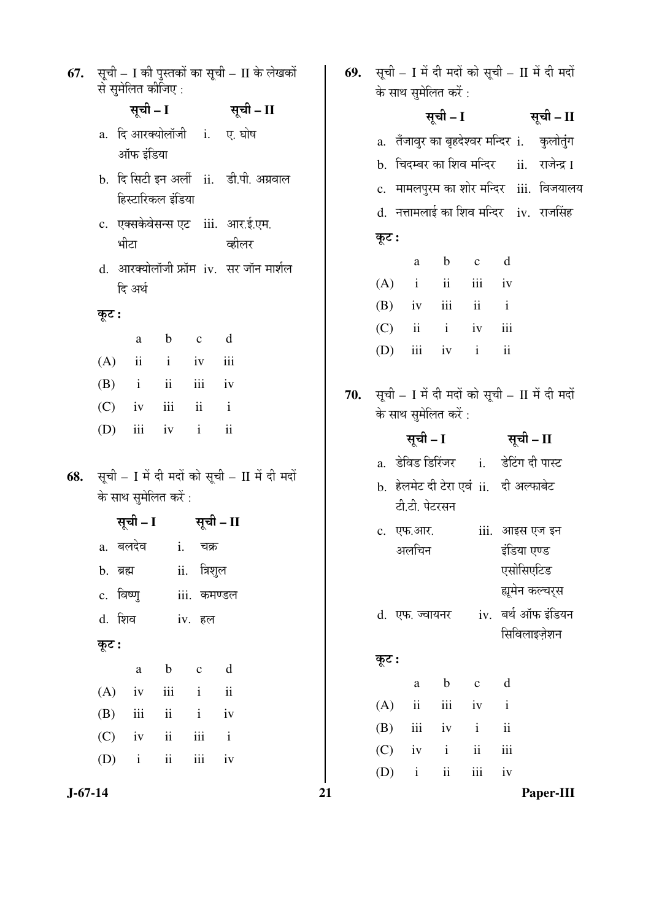| 67. | सूची – I की पुस्तकों का सूची – II के लेखकों<br>से सुमेलित कीजिए :                                                                                                      | 69. | सूची – I में दी मदों को सूची – II में दी मदों<br>के साथ सुमेलित करें :                                                                                           |
|-----|------------------------------------------------------------------------------------------------------------------------------------------------------------------------|-----|------------------------------------------------------------------------------------------------------------------------------------------------------------------|
|     | सूची – I सूची – II                                                                                                                                                     |     | सूची – I सूची – II                                                                                                                                               |
|     | a. दि आरक्योलॉजी i.<br>ए. घोष<br>ऑफ इंडिया<br>b. दि सिटी इन अर्ली ii. डी.पी. अग्रवाल                                                                                   |     | a.   तँजावुर का बृहदेश्वर मन्दिर  i.<br>कुलोतुंग<br>b. चिदम्बर का शिव मन्दिर<br>ii.   राजेन्द्र I<br>c. मामलपुरम का शोर मन्दिर iii. विजयालय                      |
|     | हिस्टारिकल इंडिया<br>c. एक्सकेवेसन्स एट iii. आर.ई.एम.<br>भीटा<br>कीलर<br>d. आरक्योलॉजी फ्रॉम iv. सर जॉन मार्शल                                                         |     | d. नत्तामलाई का शिव मन्दिर iv. राजसिंह<br>कूट :<br>$\mathbf b$<br>d<br>a<br>$\mathbf{C}$<br>$\mathbf{ii}$<br>iii<br>(A)<br>$\mathbf{i}$<br>iv                    |
|     | दि अर्थ<br>कूट :<br>d<br>$\mathbf b$<br>$\mathbf c$<br>a<br>(A)<br>$\mathbf{ii}$<br>$\mathbf{i}$<br>iii<br>iv                                                          |     | ii<br>(B)<br>iii<br>$\mathbf{i}$<br>iv<br>(C)<br>iii<br>$\ddot{\mathbf{i}}$<br>$\mathbf{i}$<br>iv<br>iii<br>$\mathbf{i}$<br>$\overline{\mathbf{i}}$<br>(D)<br>iv |
|     | (B)<br>ii<br>iii<br>$\mathbf{i}$<br>iv<br>(C)<br>iii<br>$\overline{\mathbf{ii}}$<br>$\mathbf{i}$<br>iv<br>$\overline{\textbf{ii}}$<br>(D)<br>iii<br>$\mathbf{i}$<br>iv | 70. | सूची - I में दी मदों को सूची - II में दी मदों<br>के साथ सुमेलित करें :                                                                                           |
|     |                                                                                                                                                                        |     |                                                                                                                                                                  |
| 68. | सूची – I में दी मदों को सूची – II में दी मदों<br>के साथ सुमेलित करें :                                                                                                 |     | सूची – I सूची – II<br>a.   डेविड डिरिंजर       i.<br>डेटिंग दी पास्ट<br>b. हेलमेट दी टेरा एवं ii. दी अल्फाबेट<br>टी.टी. पेटरसन                                   |
|     | सूची – I सूची – II<br>a. बलदेव   i. चक्र<br>त्रिशुल<br>ii.<br>b. ब्रह्म<br>c. विष्णु<br>iii. कमण्डल                                                                    |     | iii. आइस एज इन<br>c. एफ.आर.<br>इंडिया एण्ड<br>अलचिन<br>एसोसिएटिड<br>ह्यूमेन कल्चर्स                                                                              |
|     | d. शिव<br>iv. हल                                                                                                                                                       |     | बर्थ ऑफ इंडियन<br>d. एफ. ज्वायनर<br>iv.<br>सिविलाइज़ेशन                                                                                                          |
|     | कूट :<br>$\rm d$<br>$\mathbf b$<br>$\mathbf{C}$<br>$\rm{a}$                                                                                                            |     | कूट :                                                                                                                                                            |
|     | iii<br>$\rm ii$<br>(A)<br>$\mathbf{i}$<br>iv                                                                                                                           |     | $\mathbf b$<br>d<br>$\rm{a}$<br>$\mathbf{C}$<br>$\rm ii$<br>iii<br>(A)<br>iv<br>$\mathbf{i}$                                                                     |
|     | $\,$ iii<br>$\rm ii$<br>$\mathbf{i}$<br>(B)<br>iv<br>$\mathbf{ii}$<br>iii<br>(C)<br>$\mathbf{i}$<br>iv                                                                 |     | $\,$ iii<br>$\rm ii$<br>$\mathbf{i}$<br>(B)<br>iv                                                                                                                |
|     | $\rm ii$<br>(D)<br>$\mathbf{i}$<br>iii<br>iv                                                                                                                           |     | $\rm ii$<br>iii<br>(C)<br>iv<br>$\mathbf{i}$<br>iii<br>$\mathbf{i}$<br>$\rm ii$<br>iv<br>(D)                                                                     |

Paper-III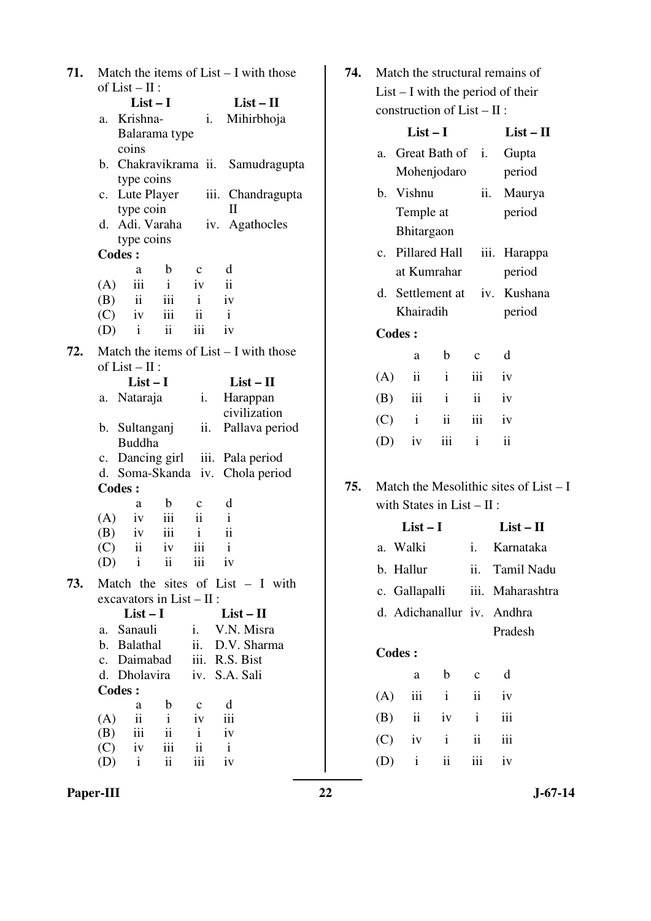| 71. |                                                          | Match the items of $List - I$ with those |
|-----|----------------------------------------------------------|------------------------------------------|
|     | of $List - II$ :                                         |                                          |
|     | $List-I$                                                 | $List - II$                              |
|     | a. Krishna-                                              | Mihirbhoja<br>i.                         |
|     | Balarama type                                            |                                          |
|     | coins                                                    |                                          |
|     | b. Chakravikrama ii.                                     | Samudragupta                             |
|     | type coins                                               |                                          |
|     | c. Lute Player                                           | iii. Chandragupta                        |
|     | type coin<br>d. Adi. Varaha                              | H                                        |
|     | type coins                                               | iv. Agathocles                           |
|     | <b>Codes:</b>                                            |                                          |
|     | $\mathbf b$<br>a                                         | d<br>$\mathbf{c}$                        |
|     | iii<br>$\mathbf{i}$<br>(A)                               | $\ddot{\mathbf{i}}$<br>iv                |
|     | $(B)$ ii iii                                             | iv<br>$\mathbf{i}$                       |
|     | $(C)$ iv iii                                             | ii<br>$\mathbf{i}$                       |
|     | ii<br>$(D)$ i                                            | iii<br>iv                                |
|     |                                                          |                                          |
| 72. |                                                          | Match the items of $List - I$ with those |
|     | of $List - II$ :<br>$List-I$                             |                                          |
|     |                                                          | $List - II$                              |
|     | a. Nataraja                                              | Harappan<br>i.<br>civilization           |
|     | b. Sultanganj                                            | ii.<br>Pallava period                    |
|     | Buddha                                                   |                                          |
|     |                                                          | c. Dancing girl iii. Pala period         |
|     |                                                          | d. Soma-Skanda iv. Chola period          |
|     | <b>Codes:</b>                                            |                                          |
|     | b<br>a                                                   | d<br>$\mathbf c$                         |
|     | $(A)$ iv<br>iii                                          | $\mathbf{i}$<br>$\overline{\mathbf{u}}$  |
|     | iii<br>$(B)$ iv                                          | $\ddot{\mathbf{i}}$<br>$\mathbf{i}$      |
|     | (C)<br>$\overline{\mathbf{u}}$<br>iv                     | iii<br>$\mathbf{i}$                      |
|     | (D)<br>$\mathbf{i}$<br>$\overline{\mathbf{ii}}$          | iii<br>iv                                |
| 73. |                                                          | Match the sites of List $- I$ with       |
|     | excavators in $List - II$ :                              |                                          |
|     | $List-I$                                                 | $List - II$                              |
|     | a. Sanauli                                               | i. V.N. Misra                            |
|     | b. Balathal                                              | ii.<br>D.V. Sharma                       |
|     | c. Daimabad                                              | iii. R.S. Bist                           |
|     | d. Dholavira iv. S.A. Sali                               |                                          |
|     | <b>Codes:</b>                                            |                                          |
|     | b<br>a<br>ii                                             | d<br>$\mathbf{c}$                        |
|     | (A)<br>$\mathbf{i}$<br>iii<br>$\ddot{\mathbf{i}}$<br>(B) | iii<br>iv<br>$\mathbf{i}$<br>iv          |
|     | (C)<br>iv<br>iii                                         | ii<br>$\mathbf{i}$                       |
|     | $\mathbf{i}$<br>ii<br>(D)                                | iii<br>iv                                |
|     |                                                          |                                          |

| <b>74.</b> Match the structural remains of |
|--------------------------------------------|
| $List - I$ with the period of their        |
| construction of $List - II$ :              |

|         |                   | List $-1$                    |              | $List-II$ |
|---------|-------------------|------------------------------|--------------|-----------|
| a.      |                   | Great Bath of i.             |              | Gupta     |
|         |                   | Mohenjodaro                  |              | period    |
| $h_{-}$ | Vishnu            |                              | ii.          | Maurya    |
|         | Temple at         |                              |              | period    |
|         | <b>Bhitargaon</b> |                              |              |           |
| $c_{-}$ |                   | Pillared Hall                | iii.         | Harappa   |
|         |                   | at Kumrahar                  |              | period    |
|         |                   | d. Settlement at <i>iv</i> . |              | Kushana   |
|         | Khairadih         |                              |              | period    |
|         | <b>Codes:</b>     |                              |              |           |
|         | a                 | h                            | $\mathbf{C}$ | d         |
| (A)     | ii                | $\mathbf{i}$                 | iii          | iv        |
| (B)     | iii               | $\mathbf{i}$                 | ii           | iv        |
| (C)     | $\mathbf{i}$      | $\mathbf{ii}$                | iii          | iv        |
| (D)     | iv                | iii                          | $\mathbf{i}$ | ii        |
|         |                   |                              |              |           |
|         |                   |                              |              |           |

**75.** Match the Mesolithic sites of List – I with States in List – II :

|        | List $-1$                  |  | $List-II$        |  |  |
|--------|----------------------------|--|------------------|--|--|
|        | a. Walki                   |  | i Karnataka      |  |  |
|        | b. Hallur                  |  | ii. Tamil Nadu   |  |  |
|        | c. Gallapalli              |  | iii. Maharashtra |  |  |
|        | d. Adichanallur iv. Andhra |  |                  |  |  |
|        |                            |  | Pradesh          |  |  |
| Codes: |                            |  |                  |  |  |

| a | b c d             |  |
|---|-------------------|--|
|   | $(A)$ iii i ii iv |  |
|   | $(B)$ ii iv i iii |  |
|   | $(C)$ iv i ii iii |  |
|   | $(D)$ i ii iii iv |  |

**Paper-III** 22 J-67-14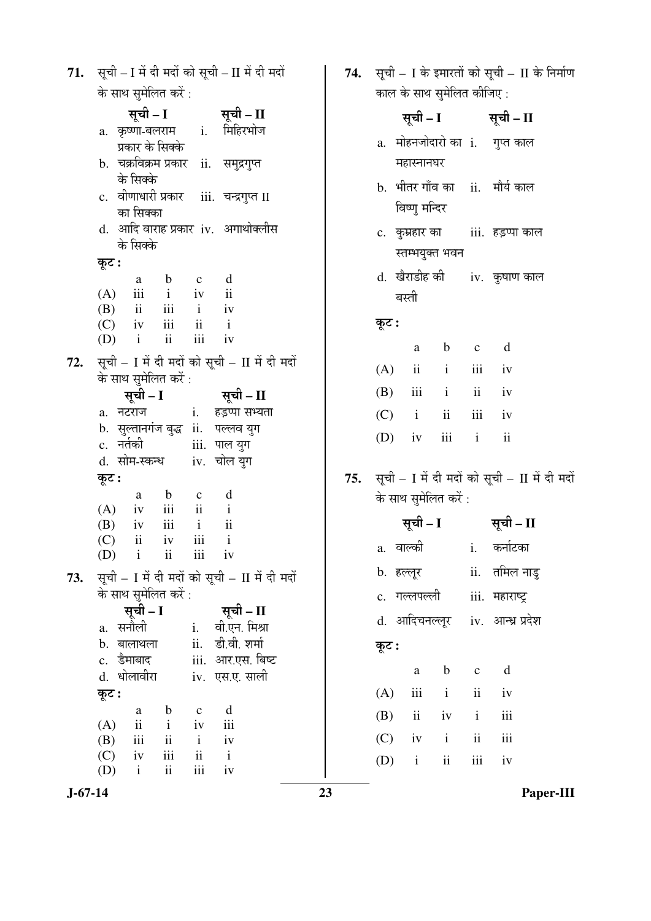| <b>71.</b> सूची – I में दी मदों को सूची – II में दी मदों |
|----------------------------------------------------------|
| के साथ समेलित करें :                                     |

|     |                                                                                                                                                                                                                             | सूची - I           |                  |                 | सूची – II                                     |  |
|-----|-----------------------------------------------------------------------------------------------------------------------------------------------------------------------------------------------------------------------------|--------------------|------------------|-----------------|-----------------------------------------------|--|
|     | a. कृष्णा-बलराम  i. मिहिरभोज                                                                                                                                                                                                |                    |                  |                 |                                               |  |
|     |                                                                                                                                                                                                                             |                    | प्रकार के सिक्के |                 |                                               |  |
|     | b. चक्रविक्रम प्रकार ii. समुद्रगुप्त<br>के सिक्के<br>c. वीणाधारी प्रकार iii. चन्द्रगुप्त II                                                                                                                                 |                    |                  |                 |                                               |  |
|     |                                                                                                                                                                                                                             |                    |                  |                 |                                               |  |
|     |                                                                                                                                                                                                                             | का सिक्का          |                  |                 |                                               |  |
|     |                                                                                                                                                                                                                             | के सिक्के          |                  |                 | d.  आदि वाराह प्रकार  iv.   अगाथोक्लीस        |  |
|     | कूट :                                                                                                                                                                                                                       |                    |                  |                 |                                               |  |
|     |                                                                                                                                                                                                                             |                    | a b c d          |                 |                                               |  |
|     | $\begin{array}{lllllllll} \text{(A)} & \text{iii} & \text{i} & \text{iv} & \text{ii}\\ \text{(B)} & \text{ii} & \text{iii} & \text{i} & \text{iv}\\ \text{(C)} & \text{iv} & \text{iii} & \text{ii} & \text{i} \end{array}$ |                    |                  |                 |                                               |  |
|     |                                                                                                                                                                                                                             |                    |                  |                 | iv                                            |  |
|     |                                                                                                                                                                                                                             |                    |                  |                 |                                               |  |
|     | $(D)$ i                                                                                                                                                                                                                     |                    | $\ddot{\rm n}$   |                 | iii iv                                        |  |
| 72. |                                                                                                                                                                                                                             |                    |                  |                 | सूची - I में दी मदों को सूची - II में दी मदों |  |
|     | के साथ सुमेलित करें :                                                                                                                                                                                                       |                    |                  |                 |                                               |  |
|     |                                                                                                                                                                                                                             | सूची - I           |                  |                 | सूची – II                                     |  |
|     | a. नटराज                                                                                                                                                                                                                    |                    |                  |                 | i. हड़प्पा सभ्यता                             |  |
|     |                                                                                                                                                                                                                             |                    |                  |                 | b. सुल्तानगंज बुद्ध ii. पल्लव युग             |  |
|     |                                                                                                                                                                                                                             |                    |                  |                 | iii. पाल युग                                  |  |
|     | c. नर्तकी<br>d. सोम-स्कन्ध iv. चोल युग<br>कूट :                                                                                                                                                                             |                    |                  |                 |                                               |  |
|     |                                                                                                                                                                                                                             |                    |                  |                 |                                               |  |
|     |                                                                                                                                                                                                                             | a —                | b c d            |                 |                                               |  |
|     | $(A)$ iv iii                                                                                                                                                                                                                |                    |                  |                 | $ii$ $i$                                      |  |
|     | $(B)$ iv iii                                                                                                                                                                                                                |                    |                  | $\mathbf{i}$    | $\overline{\mathbf{u}}$                       |  |
|     | $(C)$ ii iv iii i                                                                                                                                                                                                           |                    |                  |                 |                                               |  |
|     | $(D)$ i ii                                                                                                                                                                                                                  |                    |                  | iii             | iv                                            |  |
|     |                                                                                                                                                                                                                             |                    |                  |                 |                                               |  |
| 73. | सूची - I में दी मदों को सूची - II में दी मदों                                                                                                                                                                               |                    |                  |                 |                                               |  |
|     | के साथ सुमेलित करें :                                                                                                                                                                                                       |                    |                  |                 |                                               |  |
|     | सूची - I<br>सनौली<br>a.<br>b. बालाथला<br>c. डेमाबाद<br>d. धोलावीरा                                                                                                                                                          |                    |                  |                 | सूची – II                                     |  |
|     |                                                                                                                                                                                                                             |                    |                  | i.              | वी.एन. मिश्रा                                 |  |
|     |                                                                                                                                                                                                                             |                    |                  | ii.             | डी.वी. शर्मा                                  |  |
|     |                                                                                                                                                                                                                             |                    |                  |                 | iii. आर.एस. बिष्ट                             |  |
|     |                                                                                                                                                                                                                             |                    |                  |                 | iv. एस.ए. साली                                |  |
|     | कूट :                                                                                                                                                                                                                       |                    |                  |                 |                                               |  |
|     |                                                                                                                                                                                                                             | a                  | b                | $\mathbf C$     | d                                             |  |
|     | (A)                                                                                                                                                                                                                         | $\ddot{\text{11}}$ | $\mathbf{i}$     | iv              | iii                                           |  |
|     | (B)                                                                                                                                                                                                                         | iii                | $\mathbf{ii}$    | $\mathbf{i}$    | iv                                            |  |
|     | (C)                                                                                                                                                                                                                         | iv                 | iii              | $\ddot{\rm ii}$ | $\mathbf{i}$                                  |  |
|     | (D)                                                                                                                                                                                                                         | $\mathbf{i}$       | ii               | iii             | iv                                            |  |

**74.** सूची – I के इमारतों को सूची – II के निर्माण ्र<br>काल के साथ सुमेलित कीजिए :

|  | ment in meet Henrich and it is                                                         |                                              |         |                |                                       |  |
|--|----------------------------------------------------------------------------------------|----------------------------------------------|---------|----------------|---------------------------------------|--|
|  | सूची – I सूची – II                                                                     |                                              |         |                |                                       |  |
|  |                                                                                        | महास्नानघर                                   |         |                | a. मोहनजोदारो का i. गुप्त काल         |  |
|  |                                                                                        | विष्णु मन्दिर                                |         |                | b.  भीतर गाँव का     ii.    मौर्य काल |  |
|  |                                                                                        | स्तम्भयुक्त भवन                              |         |                | c. कुम्रहार का iii. हड़प्पा काल       |  |
|  |                                                                                        | d.  खेराडीह की       iv.  कुषाण काल<br>बस्ती |         |                |                                       |  |
|  | कूट :                                                                                  |                                              |         |                |                                       |  |
|  |                                                                                        |                                              | a b c d |                |                                       |  |
|  |                                                                                        | $(A)$ ii ii iii iv                           |         |                |                                       |  |
|  |                                                                                        | $(B)$ iii i ii iv                            |         |                |                                       |  |
|  |                                                                                        | $(C)$ i ii iii iv                            |         |                |                                       |  |
|  |                                                                                        | (D) iv iii i ii                              |         |                |                                       |  |
|  | 75. सूची - I में दी मदों को सूची - II में दी मदों<br>के साथ सुमेलित करें :             |                                              |         |                |                                       |  |
|  | सूची – I सूची – II                                                                     |                                              |         |                |                                       |  |
|  |                                                                                        | a. वाल्की                                    |         |                | i. कर्नाटका                           |  |
|  | b. हल्लूर<br>c. गल्लपल्ली  iii. महाराष्ट्र<br>d. आदिचनल्लूर iv. आन्ध्र प्रदेश<br>कूट : |                                              |         |                | ii. तमिल नाडु                         |  |
|  |                                                                                        |                                              |         |                |                                       |  |
|  |                                                                                        |                                              |         |                |                                       |  |
|  |                                                                                        |                                              |         |                |                                       |  |
|  |                                                                                        | a                                            | b       | $\overline{c}$ | $\mathbf d$                           |  |
|  |                                                                                        | $(A)$ iii i                                  |         | $\mathbf{ii}$  | iv                                    |  |
|  |                                                                                        | $(B)$ ii iv i                                |         |                | iii                                   |  |
|  |                                                                                        | $(C)$ iv i ii                                |         |                | iii                                   |  |
|  |                                                                                        | $(D)$ i ii iii iv                            |         |                |                                       |  |

 $J-67-14$ 

Paper-III